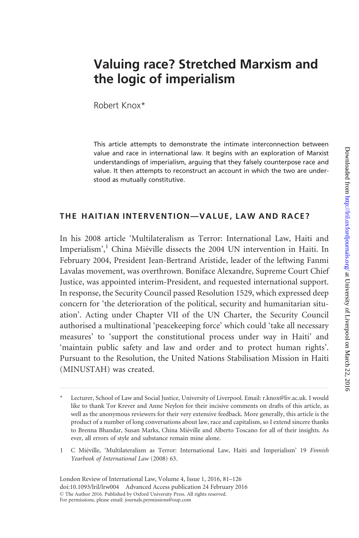# Valuing race? Stretched Marxism and the logic of imperialism

Robert Knox\*

This article attempts to demonstrate the intimate interconnection between value and race in international law. It begins with an exploration of Marxist understandings of imperialism, arguing that they falsely counterpose race and value. It then attempts to reconstruct an account in which the two are understood as mutually constitutive.

## THE HAITIAN INTERVENTION—VALUE, LAW AND RACE?

In his 2008 article 'Multilateralism as Terror: International Law, Haiti and Imperialism',<sup>1</sup> China Miéville dissects the 2004 UN intervention in Haiti. In February 2004, President Jean-Bertrand Aristide, leader of the leftwing Fanmi Lavalas movement, was overthrown. Boniface Alexandre, Supreme Court Chief Justice, was appointed interim-President, and requested international support. In response, the Security Council passed Resolution 1529, which expressed deep concern for 'the deterioration of the political, security and humanitarian situation'. Acting under Chapter VII of the UN Charter, the Security Council authorised a multinational 'peacekeeping force' which could 'take all necessary measures' to 'support the constitutional process under way in Haiti' and 'maintain public safety and law and order and to protect human rights'. Pursuant to the Resolution, the United Nations Stabilisation Mission in Haiti (MINUSTAH) was created.

Lecturer, School of Law and Social Justice, University of Liverpool. Email: r.knox@liv.ac.uk. I would like to thank Tor Krever and Anne Neylon for their incisive comments on drafts of this article, as well as the anonymous reviewers for their very extensive feedback. More generally, this article is the product of a number of long conversations about law, race and capitalism, so I extend sincere thanks to Brenna Bhandar, Susan Marks, China Miéville and Alberto Toscano for all of their insights. As ever, all errors of style and substance remain mine alone.

<sup>1</sup> C Miéville, 'Multilateralism as Terror: International Law, Haiti and Imperialism' 19 Finnish Yearbook of International Law (2008) 63.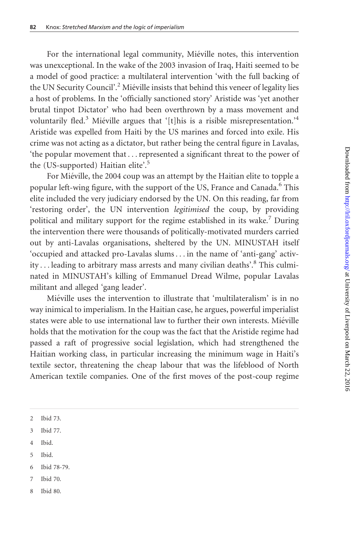For the international legal community, Miéville notes, this intervention was unexceptional. In the wake of the 2003 invasion of Iraq, Haiti seemed to be a model of good practice: a multilateral intervention 'with the full backing of the UN Security Council'.<sup>2</sup> Miéville insists that behind this veneer of legality lies a host of problems. In the 'officially sanctioned story' Aristide was 'yet another brutal tinpot Dictator' who had been overthrown by a mass movement and voluntarily fled.<sup>3</sup> Miéville argues that '[t]his is a risible misrepresentation.<sup>14</sup> Aristide was expelled from Haiti by the US marines and forced into exile. His crime was not acting as a dictator, but rather being the central figure in Lavalas, 'the popular movement that . . . represented a significant threat to the power of the (US-supported) Haitian elite'.<sup>5</sup>

For Miéville, the 2004 coup was an attempt by the Haitian elite to topple a popular left-wing figure, with the support of the US, France and Canada.<sup>6</sup> This elite included the very judiciary endorsed by the UN. On this reading, far from 'restoring order', the UN intervention legitimised the coup, by providing political and military support for the regime established in its wake.<sup>7</sup> During the intervention there were thousands of politically-motivated murders carried out by anti-Lavalas organisations, sheltered by the UN. MINUSTAH itself 'occupied and attacked pro-Lavalas slums... in the name of 'anti-gang' activity ... leading to arbitrary mass arrests and many civilian deaths'.<sup>8</sup> This culminated in MINUSTAH's killing of Emmanuel Dread Wilme, popular Lavalas militant and alleged 'gang leader'.

Miéville uses the intervention to illustrate that 'multilateralism' is in no way inimical to imperialism. In the Haitian case, he argues, powerful imperialist states were able to use international law to further their own interests. Miéville holds that the motivation for the coup was the fact that the Aristide regime had passed a raft of progressive social legislation, which had strengthened the Haitian working class, in particular increasing the minimum wage in Haiti's textile sector, threatening the cheap labour that was the lifeblood of North American textile companies. One of the first moves of the post-coup regime

- 2 Ibid 73.
- 3 Ibid 77.
- 4 Ibid.
- 5 Ibid.
- 6 Ibid 78-79.
- 7 Ibid 70.
- 8 Ibid 80.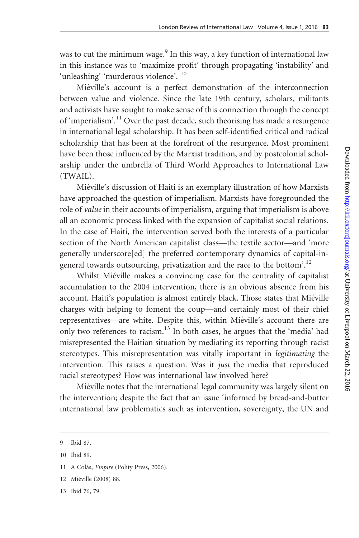was to cut the minimum wage.<sup>9</sup> In this way, a key function of international law in this instance was to 'maximize profit' through propagating 'instability' and 'unleashing' 'murderous violence'.<sup>10</sup>

Miéville's account is a perfect demonstration of the interconnection between value and violence. Since the late 19th century, scholars, militants and activists have sought to make sense of this connection through the concept of 'imperialism'.<sup>11</sup> Over the past decade, such theorising has made a resurgence in international legal scholarship. It has been self-identified critical and radical scholarship that has been at the forefront of the resurgence. Most prominent have been those influenced by the Marxist tradition, and by postcolonial scholarship under the umbrella of Third World Approaches to International Law (TWAIL).

Miéville's discussion of Haiti is an exemplary illustration of how Marxists have approached the question of imperialism. Marxists have foregrounded the role of *value* in their accounts of imperialism, arguing that imperialism is above all an economic process linked with the expansion of capitalist social relations. In the case of Haiti, the intervention served both the interests of a particular section of the North American capitalist class—the textile sector—and 'more generally underscore[ed] the preferred contemporary dynamics of capital-ingeneral towards outsourcing, privatization and the race to the bottom'.<sup>12</sup>

Whilst Miéville makes a convincing case for the centrality of capitalist accumulation to the 2004 intervention, there is an obvious absence from his account. Haiti's population is almost entirely black. Those states that Miéville charges with helping to foment the coup—and certainly most of their chief representatives—are white. Despite this, within Miéville's account there are only two references to racism.<sup>13</sup> In both cases, he argues that the 'media' had misrepresented the Haitian situation by mediating its reporting through racist stereotypes. This misrepresentation was vitally important in legitimating the intervention. This raises a question. Was it *just* the media that reproduced racial stereotypes? How was international law involved here?

Miéville notes that the international legal community was largely silent on the intervention; despite the fact that an issue 'informed by bread-and-butter international law problematics such as intervention, sovereignty, the UN and

- 11 A Colás, Empire (Polity Press, 2006).
- 12 Miéville (2008) 88.
- 13 Ibid 76, 79.

Ibid 87.

<sup>10</sup> Ibid 89.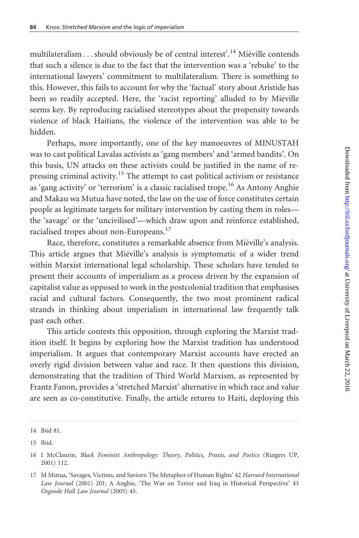multilateralism  $\dots$ should obviously be of central interest'.<sup>14</sup> Miéville contends that such a silence is due to the fact that the intervention was a 'rebuke' to the international lawyers' commitment to multilateralism. There is something to this. However, this fails to account for why the 'factual' story about Aristide has been so readily accepted. Here, the 'racist reporting' alluded to by Miéville seems key. By reproducing racialised stereotypes about the propensity towards violence of black Haitians, the violence of the intervention was able to be hidden.

Perhaps, more importantly, one of the key manoeuvres of MINUSTAH was to cast political Lavalas activists as 'gang members' and 'armed bandits'. On this basis, UN attacks on these activists could be justified in the name of repressing criminal activity.<sup>15</sup> The attempt to cast political activism or resistance as 'gang activity' or 'terrorism' is a classic racialised trope.<sup>16</sup> As Antony Anghie and Makau wa Mutua have noted, the law on the use of force constitutes certain people as legitimate targets for military intervention by casting them in roles the 'savage' or the 'uncivilised'—which draw upon and reinforce established, racialised tropes about non-Europeans.<sup>17</sup>

Race, therefore, constitutes a remarkable absence from Miéville's analysis. This article argues that Miéville's analysis is symptomatic of a wider trend within Marxist international legal scholarship. These scholars have tended to present their accounts of imperialism as a process driven by the expansion of capitalist value as opposed to work in the postcolonial tradition that emphasises racial and cultural factors. Consequently, the two most prominent radical strands in thinking about imperialism in international law frequently talk past each other.

This article contests this opposition, through exploring the Marxist tradition itself. It begins by exploring how the Marxist tradition has understood imperialism. It argues that contemporary Marxist accounts have erected an overly rigid division between value and race. It then questions this division, demonstrating that the tradition of Third World Marxism, as represented by Frantz Fanon, provides a 'stretched Marxist' alternative in which race and value are seen as co-constitutive. Finally, the article returns to Haiti, deploying this

<sup>14</sup> Ibid 81.

<sup>15</sup> Ibid.

<sup>16</sup> I McClaurin, Black Feminist Anthropology: Theory, Politics, Praxis, and Poetics (Rutgers UP, 2001) 112.

<sup>17</sup> M Mutua, 'Savages, Victims, and Saviors: The Metaphor of Human Rights' 42 Harvard International Law Journal (2001) 201; A Anghie, 'The War on Terror and Iraq in Historical Perspective' 43 Osgoode Hall Law Journal (2005) 45.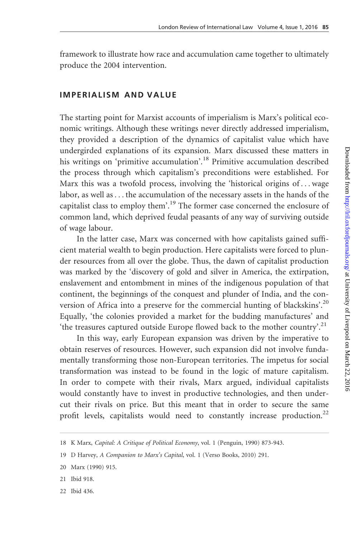framework to illustrate how race and accumulation came together to ultimately produce the 2004 intervention.

## IMPERIALISM AND VALUE

The starting point for Marxist accounts of imperialism is Marx's political economic writings. Although these writings never directly addressed imperialism, they provided a description of the dynamics of capitalist value which have undergirded explanations of its expansion. Marx discussed these matters in his writings on 'primitive accumulation'.<sup>18</sup> Primitive accumulation described the process through which capitalism's preconditions were established. For Marx this was a twofold process, involving the 'historical origins of ...wage labor, as well as... the accumulation of the necessary assets in the hands of the capitalist class to employ them'.<sup>19</sup> The former case concerned the enclosure of common land, which deprived feudal peasants of any way of surviving outside of wage labour.

In the latter case, Marx was concerned with how capitalists gained sufficient material wealth to begin production. Here capitalists were forced to plunder resources from all over the globe. Thus, the dawn of capitalist production was marked by the 'discovery of gold and silver in America, the extirpation, enslavement and entombment in mines of the indigenous population of that continent, the beginnings of the conquest and plunder of India, and the conversion of Africa into a preserve for the commercial hunting of blackskins'.<sup>20</sup> Equally, 'the colonies provided a market for the budding manufactures' and the treasures captured outside Europe flowed back to the mother country'.<sup>21</sup>

In this way, early European expansion was driven by the imperative to obtain reserves of resources. However, such expansion did not involve fundamentally transforming those non-European territories. The impetus for social transformation was instead to be found in the logic of mature capitalism. In order to compete with their rivals, Marx argued, individual capitalists would constantly have to invest in productive technologies, and then undercut their rivals on price. But this meant that in order to secure the same profit levels, capitalists would need to constantly increase production.<sup>22</sup>

22 Ibid 436.

<sup>18</sup> K Marx, Capital: A Critique of Political Economy, vol. 1 (Penguin, 1990) 873-943.

<sup>19</sup> D Harvey, A Companion to Marx's Capital, vol. 1 (Verso Books, 2010) 291.

<sup>20</sup> Marx (1990) 915.

<sup>21</sup> Ibid 918.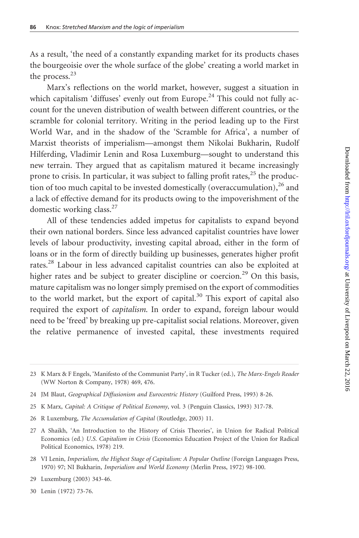As a result, 'the need of a constantly expanding market for its products chases the bourgeoisie over the whole surface of the globe' creating a world market in the process.<sup>23</sup>

Marx's reflections on the world market, however, suggest a situation in which capitalism 'diffuses' evenly out from Europe.<sup>24</sup> This could not fully account for the uneven distribution of wealth between different countries, or the scramble for colonial territory. Writing in the period leading up to the First World War, and in the shadow of the 'Scramble for Africa', a number of Marxist theorists of imperialism—amongst them Nikolai Bukharin, Rudolf Hilferding, Vladimir Lenin and Rosa Luxemburg—sought to understand this new terrain. They argued that as capitalism matured it became increasingly prone to crisis. In particular, it was subject to falling profit rates, $25$  the production of too much capital to be invested domestically (overaccumulation), $^{26}$  and a lack of effective demand for its products owing to the impoverishment of the domestic working class.27

All of these tendencies added impetus for capitalists to expand beyond their own national borders. Since less advanced capitalist countries have lower levels of labour productivity, investing capital abroad, either in the form of loans or in the form of directly building up businesses, generates higher profit rates.<sup>28</sup> Labour in less advanced capitalist countries can also be exploited at higher rates and be subject to greater discipline or coercion.<sup>29</sup> On this basis, mature capitalism was no longer simply premised on the export of commodities to the world market, but the export of capital.<sup>30</sup> This export of capital also required the export of capitalism. In order to expand, foreign labour would need to be 'freed' by breaking up pre-capitalist social relations. Moreover, given the relative permanence of invested capital, these investments required

- 24 JM Blaut, Geographical Diffusionism and Eurocentric History (Guilford Press, 1993) 8-26.
- 25 K Marx, Capital: A Critique of Political Economy, vol. 3 (Penguin Classics, 1993) 317-78.
- 26 R Luxemburg, The Accumulation of Capital (Routledge, 2003) 11.
- 27 A Shaikh, 'An Introduction to the History of Crisis Theories', in Union for Radical Political Economics (ed.) U.S. Capitalism in Crisis (Economics Education Project of the Union for Radical Political Economics, 1978) 219.
- 28 VI Lenin, Imperialism, the Highest Stage of Capitalism: A Popular Outline (Foreign Languages Press, 1970) 97; NI Bukharin, Imperialism and World Economy (Merlin Press, 1972) 98-100.
- 29 Luxemburg (2003) 343-46.
- 30 Lenin (1972) 73-76.

<sup>23</sup> K Marx & F Engels, 'Manifesto of the Communist Party', in R Tucker (ed.), The Marx-Engels Reader (WW Norton & Company, 1978) 469, 476.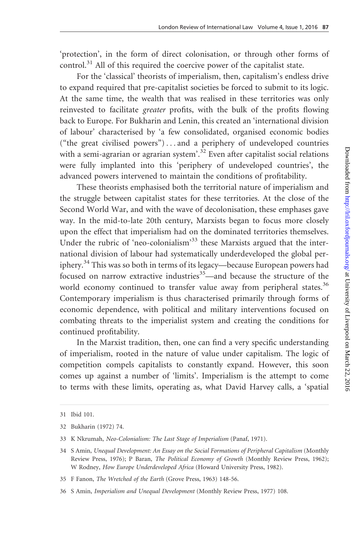'protection', in the form of direct colonisation, or through other forms of control.<sup>31</sup> All of this required the coercive power of the capitalist state.

For the 'classical' theorists of imperialism, then, capitalism's endless drive to expand required that pre-capitalist societies be forced to submit to its logic. At the same time, the wealth that was realised in these territories was only reinvested to facilitate greater profits, with the bulk of the profits flowing back to Europe. For Bukharin and Lenin, this created an 'international division of labour' characterised by 'a few consolidated, organised economic bodies ("the great civilised powers")... and a periphery of undeveloped countries with a semi-agrarian or agrarian system'.<sup>32</sup> Even after capitalist social relations were fully implanted into this 'periphery of undeveloped countries', the advanced powers intervened to maintain the conditions of profitability.

These theorists emphasised both the territorial nature of imperialism and the struggle between capitalist states for these territories. At the close of the Second World War, and with the wave of decolonisation, these emphases gave way. In the mid-to-late 20th century, Marxists began to focus more closely upon the effect that imperialism had on the dominated territories themselves. Under the rubric of 'neo-colonialism'<sup>33</sup> these Marxists argued that the international division of labour had systematically underdeveloped the global periphery.<sup>34</sup> This was so both in terms of its legacy—because European powers had focused on narrow extractive industries<sup>35</sup>—and because the structure of the world economy continued to transfer value away from peripheral states.<sup>36</sup> Contemporary imperialism is thus characterised primarily through forms of economic dependence, with political and military interventions focused on combating threats to the imperialist system and creating the conditions for continued profitability.

In the Marxist tradition, then, one can find a very specific understanding of imperialism, rooted in the nature of value under capitalism. The logic of competition compels capitalists to constantly expand. However, this soon comes up against a number of 'limits'. Imperialism is the attempt to come to terms with these limits, operating as, what David Harvey calls, a 'spatial

<sup>31</sup> Ibid 101.

<sup>32</sup> Bukharin (1972) 74.

<sup>33</sup> K Nkrumah, Neo-Colonialism: The Last Stage of Imperialism (Panaf, 1971).

<sup>34</sup> S Amin, Unequal Development: An Essay on the Social Formations of Peripheral Capitalism (Monthly Review Press, 1976); P Baran, The Political Economy of Growth (Monthly Review Press, 1962); W Rodney, How Europe Underdeveloped Africa (Howard University Press, 1982).

<sup>35</sup> F Fanon, The Wretched of the Earth (Grove Press, 1963) 148-56.

<sup>36</sup> S Amin, Imperialism and Unequal Development (Monthly Review Press, 1977) 108.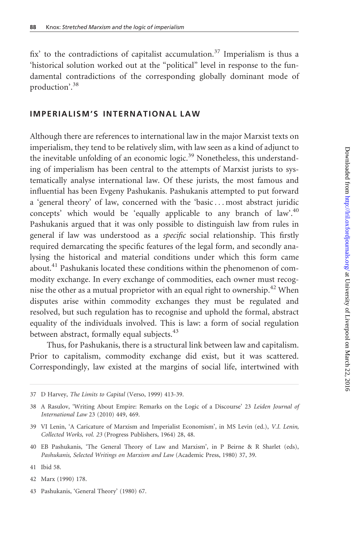fix' to the contradictions of capitalist accumulation.<sup>37</sup> Imperialism is thus a 'historical solution worked out at the "political" level in response to the fundamental contradictions of the corresponding globally dominant mode of production'.<sup>38</sup>

## IMPERIALISM'S INTERNATIONAL LAW

Although there are references to international law in the major Marxist texts on imperialism, they tend to be relatively slim, with law seen as a kind of adjunct to the inevitable unfolding of an economic logic.<sup>39</sup> Nonetheless, this understanding of imperialism has been central to the attempts of Marxist jurists to systematically analyse international law. Of these jurists, the most famous and influential has been Evgeny Pashukanis. Pashukanis attempted to put forward a 'general theory' of law, concerned with the 'basic ... most abstract juridic concepts' which would be 'equally applicable to any branch of law'.<sup>40</sup> Pashukanis argued that it was only possible to distinguish law from rules in general if law was understood as a specific social relationship. This firstly required demarcating the specific features of the legal form, and secondly analysing the historical and material conditions under which this form came about.<sup>41</sup> Pashukanis located these conditions within the phenomenon of commodity exchange. In every exchange of commodities, each owner must recognise the other as a mutual proprietor with an equal right to ownership.<sup>42</sup> When disputes arise within commodity exchanges they must be regulated and resolved, but such regulation has to recognise and uphold the formal, abstract equality of the individuals involved. This is law: a form of social regulation between abstract, formally equal subjects.<sup>43</sup>

Thus, for Pashukanis, there is a structural link between law and capitalism. Prior to capitalism, commodity exchange did exist, but it was scattered. Correspondingly, law existed at the margins of social life, intertwined with

40 EB Pashukanis, 'The General Theory of Law and Marxism', in P Beirne & R Sharlet (eds), Pashukanis, Selected Writings on Marxism and Law (Academic Press, 1980) 37, 39.

- 42 Marx (1990) 178.
- 43 Pashukanis, 'General Theory' (1980) 67.

<sup>37</sup> D Harvey, The Limits to Capital (Verso, 1999) 413-39.

<sup>38</sup> A Rasulov, 'Writing About Empire: Remarks on the Logic of a Discourse' 23 Leiden Journal of International Law 23 (2010) 449, 469.

<sup>39</sup> VI Lenin, 'A Caricature of Marxism and Imperialist Economism', in MS Levin (ed.), V.I. Lenin, Collected Works, vol. 23 (Progress Publishers, 1964) 28, 48.

<sup>41</sup> Ibid 58.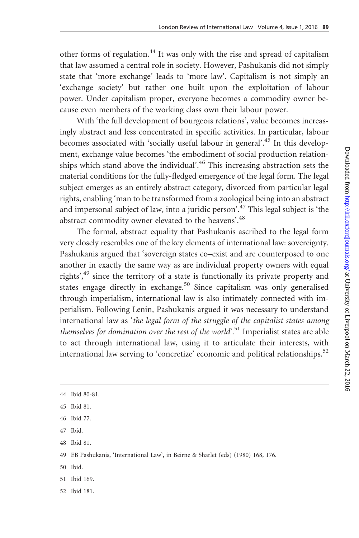other forms of regulation.<sup>44</sup> It was only with the rise and spread of capitalism that law assumed a central role in society. However, Pashukanis did not simply state that 'more exchange' leads to 'more law'. Capitalism is not simply an 'exchange society' but rather one built upon the exploitation of labour power. Under capitalism proper, everyone becomes a commodity owner because even members of the working class own their labour power.

With 'the full development of bourgeois relations', value becomes increasingly abstract and less concentrated in specific activities. In particular, labour becomes associated with 'socially useful labour in general'.<sup>45</sup> In this development, exchange value becomes 'the embodiment of social production relationships which stand above the individual'.<sup>46</sup> This increasing abstraction sets the material conditions for the fully-fledged emergence of the legal form. The legal subject emerges as an entirely abstract category, divorced from particular legal rights, enabling 'man to be transformed from a zoological being into an abstract and impersonal subject of law, into a juridic person'.<sup>47</sup> This legal subject is 'the abstract commodity owner elevated to the heavens'.<sup>48</sup>

The formal, abstract equality that Pashukanis ascribed to the legal form very closely resembles one of the key elements of international law: sovereignty. Pashukanis argued that 'sovereign states co–exist and are counterposed to one another in exactly the same way as are individual property owners with equal rights', $49$  since the territory of a state is functionally its private property and states engage directly in exchange.<sup>50</sup> Since capitalism was only generalised through imperialism, international law is also intimately connected with imperialism. Following Lenin, Pashukanis argued it was necessary to understand international law as 'the legal form of the struggle of the capitalist states among themselves for domination over the rest of the world.<sup>51</sup> Imperialist states are able to act through international law, using it to articulate their interests, with international law serving to 'concretize' economic and political relationships.<sup>52</sup>

52 Ibid 181.

<sup>44</sup> Ibid 80-81.

<sup>45</sup> Ibid 81.

<sup>46</sup> Ibid 77.

<sup>47</sup> Ibid.

<sup>48</sup> Ibid 81.

<sup>49</sup> EB Pashukanis, 'International Law', in Beirne & Sharlet (eds) (1980) 168, 176.

<sup>50</sup> Ibid.

<sup>51</sup> Ibid 169.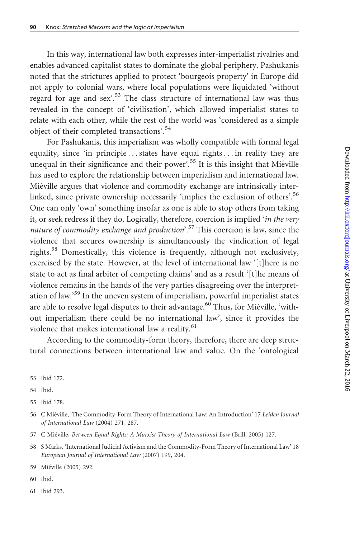In this way, international law both expresses inter-imperialist rivalries and enables advanced capitalist states to dominate the global periphery. Pashukanis noted that the strictures applied to protect 'bourgeois property' in Europe did not apply to colonial wars, where local populations were liquidated 'without regard for age and sex<sup>'.53</sup> The class structure of international law was thus revealed in the concept of 'civilisation', which allowed imperialist states to relate with each other, while the rest of the world was 'considered as a simple object of their completed transactions'.<sup>54</sup>

For Pashukanis, this imperialism was wholly compatible with formal legal equality, since 'in principle ...states have equal rights... in reality they are unequal in their significance and their power'.<sup>55</sup> It is this insight that Miéville has used to explore the relationship between imperialism and international law. Miéville argues that violence and commodity exchange are intrinsically interlinked, since private ownership necessarily 'implies the exclusion of others'.<sup>56</sup> One can only 'own' something insofar as one is able to stop others from taking it, or seek redress if they do. Logically, therefore, coercion is implied 'in the very nature of commodity exchange and production'.<sup>57</sup> This coercion is law, since the violence that secures ownership is simultaneously the vindication of legal rights.<sup>58</sup> Domestically, this violence is frequently, although not exclusively, exercised by the state. However, at the level of international law '[t]here is no state to act as final arbiter of competing claims' and as a result '[t]he means of violence remains in the hands of the very parties disagreeing over the interpretation of law.'<sup>59</sup> In the uneven system of imperialism, powerful imperialist states are able to resolve legal disputes to their advantage.<sup>60</sup> Thus, for Miéville, 'without imperialism there could be no international law', since it provides the violence that makes international law a reality.<sup>61</sup>

According to the commodity-form theory, therefore, there are deep structural connections between international law and value. On the 'ontological

59 Miéville (2005) 292.

60 Ibid.

61 Ibid 293.

<sup>53</sup> Ibid 172.

<sup>54</sup> Ibid.

<sup>55</sup> Ibid 178.

<sup>56</sup> C Miéville, 'The Commodity-Form Theory of International Law: An Introduction' 17 Leiden Journal of International Law (2004) 271, 287.

<sup>57</sup> C Miéville, Between Equal Rights: A Marxist Theory of International Law (Brill, 2005) 127.

<sup>58</sup> S Marks, 'International Judicial Activism and the Commodity-Form Theory of International Law' 18 European Journal of International Law (2007) 199, 204.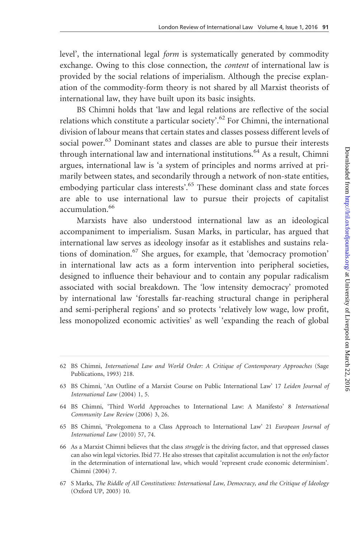level', the international legal *form* is systematically generated by commodity exchange. Owing to this close connection, the *content* of international law is provided by the social relations of imperialism. Although the precise explanation of the commodity-form theory is not shared by all Marxist theorists of international law, they have built upon its basic insights.

BS Chimni holds that 'law and legal relations are reflective of the social relations which constitute a particular society'.<sup>62</sup> For Chimni, the international division of labour means that certain states and classes possess different levels of social power.<sup>63</sup> Dominant states and classes are able to pursue their interests through international law and international institutions.<sup>64</sup> As a result, Chimni argues, international law is 'a system of principles and norms arrived at primarily between states, and secondarily through a network of non-state entities, embodying particular class interests'.<sup>65</sup> These dominant class and state forces are able to use international law to pursue their projects of capitalist accumulation.<sup>66</sup>

Marxists have also understood international law as an ideological accompaniment to imperialism. Susan Marks, in particular, has argued that international law serves as ideology insofar as it establishes and sustains relations of domination.<sup>67</sup> She argues, for example, that 'democracy promotion' in international law acts as a form intervention into peripheral societies, designed to influence their behaviour and to contain any popular radicalism associated with social breakdown. The 'low intensity democracy' promoted by international law 'forestalls far-reaching structural change in peripheral and semi-peripheral regions' and so protects 'relatively low wage, low profit, less monopolized economic activities' as well 'expanding the reach of global

- 64 BS Chimni, 'Third World Approaches to International Law: A Manifesto' 8 International Community Law Review (2006) 3, 26.
- 65 BS Chimni, 'Prolegomena to a Class Approach to International Law' 21 European Journal of International Law (2010) 57, 74.
- 66 As a Marxist Chimni believes that the class struggle is the driving factor, and that oppressed classes can also win legal victories. Ibid 77. He also stresses that capitalist accumulation is not the only factor in the determination of international law, which would 'represent crude economic determinism'. Chimni (2004) 7.
- 67 S Marks, The Riddle of All Constitutions: International Law, Democracy, and the Critique of Ideology (Oxford UP, 2003) 10.

<sup>62</sup> BS Chimni, International Law and World Order: A Critique of Contemporary Approaches (Sage Publications, 1993) 218.

<sup>63</sup> BS Chimni, 'An Outline of a Marxist Course on Public International Law' 17 Leiden Journal of International Law (2004) 1, 5.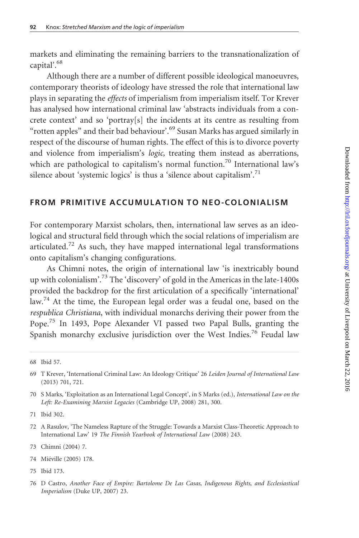markets and eliminating the remaining barriers to the transnationalization of capital'.<sup>68</sup>

Although there are a number of different possible ideological manoeuvres, contemporary theorists of ideology have stressed the role that international law plays in separating the effects of imperialism from imperialism itself. Tor Krever has analysed how international criminal law 'abstracts individuals from a concrete context' and so 'portray[s] the incidents at its centre as resulting from "rotten apples" and their bad behaviour'.<sup>69</sup> Susan Marks has argued similarly in respect of the discourse of human rights. The effect of this is to divorce poverty and violence from imperialism's logic, treating them instead as aberrations, which are pathological to capitalism's normal function.<sup>70</sup> International law's silence about 'systemic logics' is thus a 'silence about capitalism'.<sup>71</sup>

## FROM PRIMITIVE ACCUMULATION TO NEO-COLONIALISM

For contemporary Marxist scholars, then, international law serves as an ideological and structural field through which the social relations of imperialism are articulated.<sup>72</sup> As such, they have mapped international legal transformations onto capitalism's changing configurations.

As Chimni notes, the origin of international law 'is inextricably bound up with colonialism'.<sup>73</sup> The 'discovery' of gold in the Americas in the late-1400s provided the backdrop for the first articulation of a specifically 'international' law.<sup>74</sup> At the time, the European legal order was a feudal one, based on the respublica Christiana, with individual monarchs deriving their power from the Pope.<sup>75</sup> In 1493, Pope Alexander VI passed two Papal Bulls, granting the Spanish monarchy exclusive jurisdiction over the West Indies.<sup>76</sup> Feudal law

- 74 Miéville (2005) 178.
- 75 Ibid 173.

<sup>68</sup> Ibid 57.

<sup>69</sup> T Krever, 'International Criminal Law: An Ideology Critique' 26 Leiden Journal of International Law (2013) 701, 721.

<sup>70</sup> S Marks, 'Exploitation as an International Legal Concept', in S Marks (ed.), International Law on the Left: Re-Examining Marxist Legacies (Cambridge UP, 2008) 281, 300.

<sup>71</sup> Ibid 302.

<sup>72</sup> A Rasulov, 'The Nameless Rapture of the Struggle: Towards a Marxist Class-Theoretic Approach to International Law' 19 The Finnish Yearbook of International Law (2008) 243.

<sup>73</sup> Chimni (2004) 7.

<sup>76</sup> D Castro, Another Face of Empire: Bartolome De Las Casas, Indigenous Rights, and Ecclesiastical Imperialism (Duke UP, 2007) 23.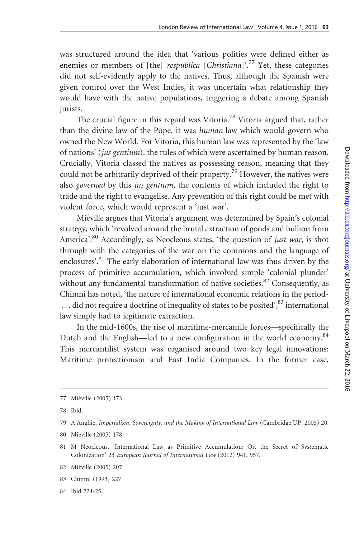was structured around the idea that 'various polities were defined either as enemies or members of [the] *respublica* [Christiana]'.<sup>77</sup> Yet, these categories did not self-evidently apply to the natives. Thus, although the Spanish were given control over the West Indies, it was uncertain what relationship they would have with the native populations, triggering a debate among Spanish jurists.

The crucial figure in this regard was Vitoria.<sup>78</sup> Vitoria argued that, rather than the divine law of the Pope, it was human law which would govern who owned the New World. For Vitoria, this human law was represented by the 'law of nations' (jus gentium), the rules of which were ascertained by human reason. Crucially, Vitoria classed the natives as possessing reason, meaning that they could not be arbitrarily deprived of their property.<sup>79</sup> However, the natives were also governed by this jus gentium, the contents of which included the right to trade and the right to evangelise. Any prevention of this right could be met with violent force, which would represent a 'just war'.

Miéville argues that Vitoria's argument was determined by Spain's colonial strategy, which 'revolved around the brutal extraction of goods and bullion from America'.<sup>80</sup> Accordingly, as Neocleous states, 'the question of *just war*, is shot through with the categories of the war on the commons and the language of enclosures'.<sup>81</sup> The early elaboration of international law was thus driven by the process of primitive accumulation, which involved simple 'colonial plunder' without any fundamental transformation of native societies.<sup>82</sup> Consequently, as Chimni has noted, 'the nature of international economic relations in the period-  $\ldots$  did not require a doctrine of inequality of states to be posited',  $83$  international law simply had to legitimate extraction.

In the mid-1600s, the rise of maritime-mercantile forces—specifically the Dutch and the English—led to a new configuration in the world economy.<sup>84</sup> This mercantilist system was organised around two key legal innovations: Maritime protectionism and East India Companies. In the former case,

<sup>77</sup> Miéville (2005) 173.

<sup>78</sup> Ibid.

<sup>79</sup> A Anghie, Imperialism, Sovereignty, and the Making of International Law (Cambridge UP, 2005) 20.

<sup>80</sup> Miéville (2005) 178.

<sup>81</sup> M Neocleous, 'International Law as Primitive Accumulation; Or, the Secret of Systematic Colonization' 23 European Journal of International Law (2012) 941, 957.

<sup>82</sup> Miéville (2005) 207.

<sup>83</sup> Chimni (1993) 227.

<sup>84</sup> Ibid 224-25.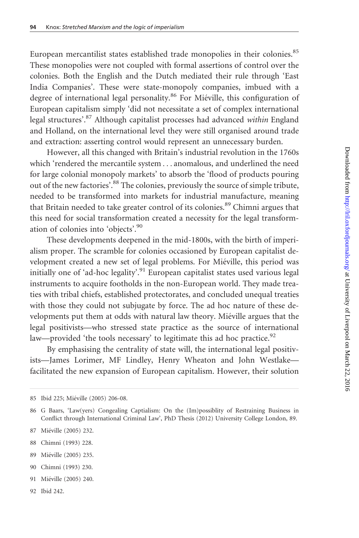European mercantilist states established trade monopolies in their colonies.<sup>85</sup> These monopolies were not coupled with formal assertions of control over the colonies. Both the English and the Dutch mediated their rule through 'East India Companies'. These were state-monopoly companies, imbued with a degree of international legal personality.<sup>86</sup> For Miéville, this configuration of European capitalism simply 'did not necessitate a set of complex international legal structures'.<sup>87</sup> Although capitalist processes had advanced within England and Holland, on the international level they were still organised around trade and extraction: asserting control would represent an unnecessary burden.

However, all this changed with Britain's industrial revolution in the 1760s which 'rendered the mercantile system ... anomalous, and underlined the need for large colonial monopoly markets' to absorb the 'flood of products pouring out of the new factories'.<sup>88</sup> The colonies, previously the source of simple tribute, needed to be transformed into markets for industrial manufacture, meaning that Britain needed to take greater control of its colonies.<sup>89</sup> Chimni argues that this need for social transformation created a necessity for the legal transformation of colonies into 'objects'.<sup>90</sup>

These developments deepened in the mid-1800s, with the birth of imperialism proper. The scramble for colonies occasioned by European capitalist development created a new set of legal problems. For Miéville, this period was initially one of 'ad-hoc legality'.<sup>91</sup> European capitalist states used various legal instruments to acquire footholds in the non-European world. They made treaties with tribal chiefs, established protectorates, and concluded unequal treaties with those they could not subjugate by force. The ad hoc nature of these developments put them at odds with natural law theory. Miéville argues that the legal positivists—who stressed state practice as the source of international law—provided 'the tools necessary' to legitimate this ad hoc practice. $92$ 

By emphasising the centrality of state will, the international legal positivists—James Lorimer, MF Lindley, Henry Wheaton and John Westlake facilitated the new expansion of European capitalism. However, their solution

- 89 Miéville (2005) 235.
- 90 Chimni (1993) 230.
- 91 Miéville (2005) 240.
- 92 Ibid 242.

<sup>85</sup> Ibid 225; Miéville (2005) 206-08.

<sup>86</sup> G Baars, 'Law(yers) Congealing Captialism: On the (Im)possiblity of Restraining Business in Conflict through International Criminal Law', PhD Thesis (2012) University College London, 89.

<sup>87</sup> Miéville (2005) 232.

<sup>88</sup> Chimni (1993) 228.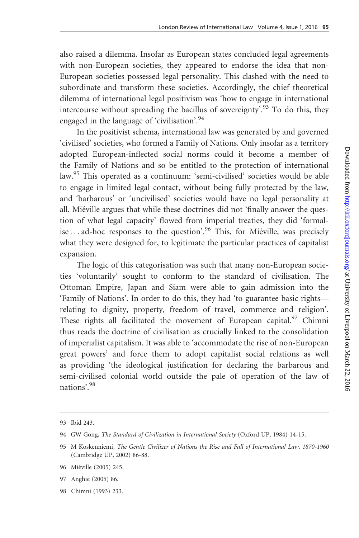also raised a dilemma. Insofar as European states concluded legal agreements with non-European societies, they appeared to endorse the idea that non-European societies possessed legal personality. This clashed with the need to subordinate and transform these societies. Accordingly, the chief theoretical dilemma of international legal positivism was 'how to engage in international intercourse without spreading the bacillus of sovereignty'.<sup>93</sup> To do this, they engaged in the language of 'civilisation'.<sup>94</sup>

In the positivist schema, international law was generated by and governed 'civilised' societies, who formed a Family of Nations. Only insofar as a territory adopted European-inflected social norms could it become a member of the Family of Nations and so be entitled to the protection of international law.<sup>95</sup> This operated as a continuum: 'semi-civilised' societies would be able to engage in limited legal contact, without being fully protected by the law, and 'barbarous' or 'uncivilised' societies would have no legal personality at all. Miéville argues that while these doctrines did not 'finally answer the question of what legal capacity' flowed from imperial treaties, they did 'formalise ... ad-hoc responses to the question'.<sup>96</sup> This, for Miéville, was precisely what they were designed for, to legitimate the particular practices of capitalist expansion.

The logic of this categorisation was such that many non-European societies 'voluntarily' sought to conform to the standard of civilisation. The Ottoman Empire, Japan and Siam were able to gain admission into the 'Family of Nations'. In order to do this, they had 'to guarantee basic rights relating to dignity, property, freedom of travel, commerce and religion'. These rights all facilitated the movement of European capital.<sup>97</sup> Chimni thus reads the doctrine of civilisation as crucially linked to the consolidation of imperialist capitalism. It was able to 'accommodate the rise of non-European great powers' and force them to adopt capitalist social relations as well as providing 'the ideological justification for declaring the barbarous and semi-civilised colonial world outside the pale of operation of the law of nations' 98

- 97 Anghie (2005) 86.
- 98 Chimni (1993) 233.

<sup>93</sup> Ibid 243.

<sup>94</sup> GW Gong, The Standard of Civilization in International Society (Oxford UP, 1984) 14-15.

<sup>95</sup> M Koskenniemi, The Gentle Civilizer of Nations the Rise and Fall of International Law, 1870-1960 (Cambridge UP, 2002) 86-88.

<sup>96</sup> Miéville (2005) 245.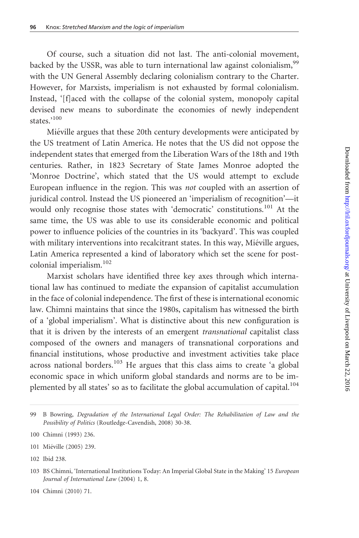Of course, such a situation did not last. The anti-colonial movement, backed by the USSR, was able to turn international law against colonialism,<sup>99</sup> with the UN General Assembly declaring colonialism contrary to the Charter. However, for Marxists, imperialism is not exhausted by formal colonialism. Instead, '[f]aced with the collapse of the colonial system, monopoly capital devised new means to subordinate the economies of newly independent states $^{100}$ 

Miéville argues that these 20th century developments were anticipated by the US treatment of Latin America. He notes that the US did not oppose the independent states that emerged from the Liberation Wars of the 18th and 19th centuries. Rather, in 1823 Secretary of State James Monroe adopted the 'Monroe Doctrine', which stated that the US would attempt to exclude European influence in the region. This was not coupled with an assertion of juridical control. Instead the US pioneered an 'imperialism of recognition'—it would only recognise those states with 'democratic' constitutions.<sup>101</sup> At the same time, the US was able to use its considerable economic and political power to influence policies of the countries in its 'backyard'. This was coupled with military interventions into recalcitrant states. In this way, Miéville argues, Latin America represented a kind of laboratory which set the scene for postcolonial imperialism.<sup>102</sup>

Marxist scholars have identified three key axes through which international law has continued to mediate the expansion of capitalist accumulation in the face of colonial independence. The first of these is international economic law. Chimni maintains that since the 1980s, capitalism has witnessed the birth of a 'global imperialism'. What is distinctive about this new configuration is that it is driven by the interests of an emergent *transnational* capitalist class composed of the owners and managers of transnational corporations and financial institutions, whose productive and investment activities take place across national borders.<sup>103</sup> He argues that this class aims to create 'a global economic space in which uniform global standards and norms are to be implemented by all states' so as to facilitate the global accumulation of capital.<sup>104</sup>

102 Ibid 238.

104 Chimni (2010) 71.

<sup>99</sup> B Bowring, Degradation of the International Legal Order: The Rehabilitation of Law and the Possibility of Politics (Routledge-Cavendish, 2008) 30-38.

<sup>100</sup> Chimni (1993) 236.

<sup>101</sup> Miéville (2005) 239.

<sup>103</sup> BS Chimni, 'International Institutions Today: An Imperial Global State in the Making' 15 European Journal of International Law (2004) 1, 8.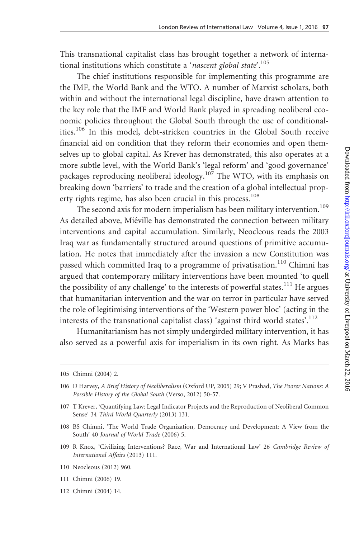This transnational capitalist class has brought together a network of international institutions which constitute a 'nascent global state'.<sup>105</sup>

The chief institutions responsible for implementing this programme are the IMF, the World Bank and the WTO. A number of Marxist scholars, both within and without the international legal discipline, have drawn attention to the key role that the IMF and World Bank played in spreading neoliberal economic policies throughout the Global South through the use of conditionalities.<sup>106</sup> In this model, debt-stricken countries in the Global South receive financial aid on condition that they reform their economies and open themselves up to global capital. As Krever has demonstrated, this also operates at a more subtle level, with the World Bank's 'legal reform' and 'good governance' packages reproducing neoliberal ideology.<sup>107</sup> The WTO, with its emphasis on breaking down 'barriers' to trade and the creation of a global intellectual property rights regime, has also been crucial in this process. $108$ 

The second axis for modern imperialism has been military intervention.<sup>109</sup> As detailed above, Miéville has demonstrated the connection between military interventions and capital accumulation. Similarly, Neocleous reads the 2003 Iraq war as fundamentally structured around questions of primitive accumulation. He notes that immediately after the invasion a new Constitution was passed which committed Iraq to a programme of privatisation.<sup>110</sup> Chimni has argued that contemporary military interventions have been mounted 'to quell the possibility of any challenge' to the interests of powerful states.<sup>111</sup> He argues that humanitarian intervention and the war on terror in particular have served the role of legitimising interventions of the 'Western power bloc' (acting in the interests of the transnational capitalist class) 'against third world states'.<sup>112</sup>

Humanitarianism has not simply undergirded military intervention, it has also served as a powerful axis for imperialism in its own right. As Marks has

- 108 BS Chimni, 'The World Trade Organization, Democracy and Development: A View from the South' 40 Journal of World Trade (2006) 5.
- 109 R Knox, 'Civilizing Interventions? Race, War and International Law' 26 Cambridge Review of International Affairs (2013) 111.
- 110 Neocleous (2012) 960.
- 111 Chimni (2006) 19.
- 112 Chimni (2004) 14.

<sup>105</sup> Chimni (2004) 2.

<sup>106</sup> D Harvey, A Brief History of Neoliberalism (Oxford UP, 2005) 29; V Prashad, The Poorer Nations: A Possible History of the Global South (Verso, 2012) 50-57.

<sup>107</sup> T Krever, 'Quantifying Law: Legal Indicator Projects and the Reproduction of Neoliberal Common Sense' 34 Third World Quarterly (2013) 131.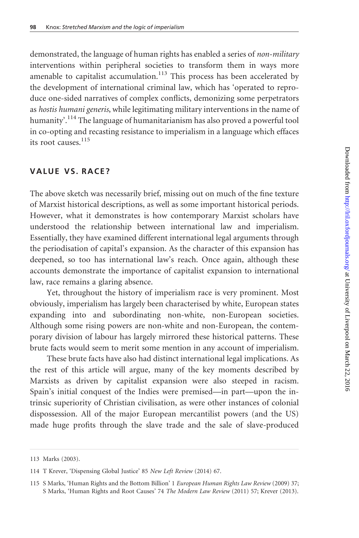demonstrated, the language of human rights has enabled a series of *non-military* interventions within peripheral societies to transform them in ways more amenable to capitalist accumulation.<sup>113</sup> This process has been accelerated by the development of international criminal law, which has 'operated to reproduce one-sided narratives of complex conflicts, demonizing some perpetrators as hostis humani generis, while legitimating military interventions in the name of humanity'.<sup>114</sup> The language of humanitarianism has also proved a powerful tool in co-opting and recasting resistance to imperialism in a language which effaces its root causes.<sup>115</sup>

# VALUE VS. RACE?

The above sketch was necessarily brief, missing out on much of the fine texture of Marxist historical descriptions, as well as some important historical periods. However, what it demonstrates is how contemporary Marxist scholars have understood the relationship between international law and imperialism. Essentially, they have examined different international legal arguments through the periodisation of capital's expansion. As the character of this expansion has deepened, so too has international law's reach. Once again, although these accounts demonstrate the importance of capitalist expansion to international law, race remains a glaring absence.

Yet, throughout the history of imperialism race is very prominent. Most obviously, imperialism has largely been characterised by white, European states expanding into and subordinating non-white, non-European societies. Although some rising powers are non-white and non-European, the contemporary division of labour has largely mirrored these historical patterns. These brute facts would seem to merit some mention in any account of imperialism.

These brute facts have also had distinct international legal implications. As the rest of this article will argue, many of the key moments described by Marxists as driven by capitalist expansion were also steeped in racism. Spain's initial conquest of the Indies were premised—in part—upon the intrinsic superiority of Christian civilisation, as were other instances of colonial dispossession. All of the major European mercantilist powers (and the US) made huge profits through the slave trade and the sale of slave-produced

<sup>113</sup> Marks (2003).

<sup>114</sup> T Krever, 'Dispensing Global Justice' 85 New Left Review (2014) 67.

<sup>115</sup> S Marks, 'Human Rights and the Bottom Billion' 1 European Human Rights Law Review (2009) 37; S Marks, 'Human Rights and Root Causes' 74 The Modern Law Review (2011) 57; Krever (2013).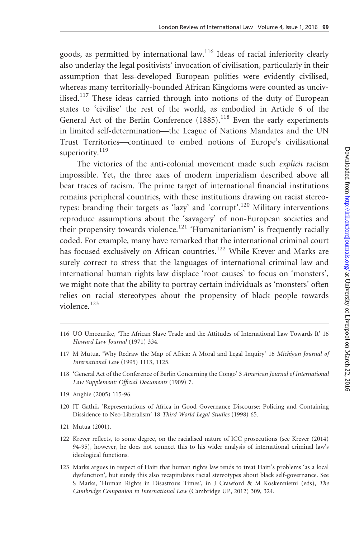goods, as permitted by international law.<sup>116</sup> Ideas of racial inferiority clearly also underlay the legal positivists' invocation of civilisation, particularly in their assumption that less-developed European polities were evidently civilised, whereas many territorially-bounded African Kingdoms were counted as uncivilised.<sup>117</sup> These ideas carried through into notions of the duty of European states to 'civilise' the rest of the world, as embodied in Article 6 of the General Act of the Berlin Conference  $(1885)$ .<sup>118</sup> Even the early experiments in limited self-determination—the League of Nations Mandates and the UN Trust Territories—continued to embed notions of Europe's civilisational superiority.<sup>119</sup>

The victories of the anti-colonial movement made such *explicit* racism impossible. Yet, the three axes of modern imperialism described above all bear traces of racism. The prime target of international financial institutions remains peripheral countries, with these institutions drawing on racist stereotypes: branding their targets as 'lazy' and 'corrupt'.<sup>120</sup> Military interventions reproduce assumptions about the 'savagery' of non-European societies and their propensity towards violence.<sup>121</sup> 'Humanitarianism' is frequently racially coded. For example, many have remarked that the international criminal court has focused exclusively on African countries.<sup>122</sup> While Krever and Marks are surely correct to stress that the languages of international criminal law and international human rights law displace 'root causes' to focus on 'monsters', we might note that the ability to portray certain individuals as 'monsters' often relies on racial stereotypes about the propensity of black people towards violence.<sup>123</sup>

- 116 UO Umozurike, 'The African Slave Trade and the Attitudes of International Law Towards It' 16 Howard Law Journal (1971) 334.
- 117 M Mutua, 'Why Redraw the Map of Africa: A Moral and Legal Inquiry' 16 Michigan Journal of International Law (1995) 1113, 1125.
- 118 'General Act of the Conference of Berlin Concerning the Congo' 3 American Journal of International Law Supplement: Official Documents (1909) 7.
- 119 Anghie (2005) 115-96.
- 120 JT Gathii, 'Representations of Africa in Good Governance Discourse: Policing and Containing Dissidence to Neo-Liberalism' 18 Third World Legal Studies (1998) 65.
- 121 Mutua (2001).
- 122 Krever reflects, to some degree, on the racialised nature of ICC prosecutions (see Krever (2014) 94-95), however, he does not connect this to his wider analysis of international criminal law's ideological functions.
- 123 Marks argues in respect of Haiti that human rights law tends to treat Haiti's problems 'as a local dysfunction', but surely this also recapitulates racial stereotypes about black self-governance. See S Marks, 'Human Rights in Disastrous Times', in J Crawford & M Koskenniemi (eds), The Cambridge Companion to International Law (Cambridge UP, 2012) 309, 324.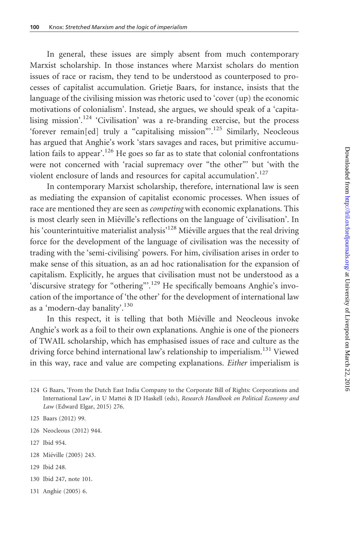In general, these issues are simply absent from much contemporary Marxist scholarship. In those instances where Marxist scholars do mention issues of race or racism, they tend to be understood as counterposed to processes of capitalist accumulation. Grietje Baars, for instance, insists that the language of the civilising mission was rhetoric used to 'cover (up) the economic motivations of colonialism'. Instead, she argues, we should speak of a 'capitalising mission'.<sup>124</sup> 'Civilisation' was a re-branding exercise, but the process 'forever remain[ed] truly a "capitalising mission".<sup>125</sup> Similarly, Neocleous has argued that Anghie's work 'stars savages and races, but primitive accumulation fails to appear'.<sup>126</sup> He goes so far as to state that colonial confrontations were not concerned with 'racial supremacy over "the other"' but 'with the violent enclosure of lands and resources for capital accumulation'.<sup>127</sup>

In contemporary Marxist scholarship, therefore, international law is seen as mediating the expansion of capitalist economic processes. When issues of race are mentioned they are seen as *competing* with economic explanations. This is most clearly seen in Miéville's reflections on the language of 'civilisation'. In his 'counterintuitive materialist analysis'<sup>128</sup> Miéville argues that the real driving force for the development of the language of civilisation was the necessity of trading with the 'semi-civilising' powers. For him, civilisation arises in order to make sense of this situation, as an ad hoc rationalisation for the expansion of capitalism. Explicitly, he argues that civilisation must not be understood as a 'discursive strategy for "othering"'.<sup>129</sup> He specifically bemoans Anghie's invocation of the importance of 'the other' for the development of international law as a 'modern-day banality'.<sup>130</sup>

In this respect, it is telling that both Miéville and Neocleous invoke Anghie's work as a foil to their own explanations. Anghie is one of the pioneers of TWAIL scholarship, which has emphasised issues of race and culture as the driving force behind international law's relationship to imperialism.<sup>131</sup> Viewed in this way, race and value are competing explanations. Either imperialism is

- 126 Neocleous (2012) 944.
- 127 Ibid 954.
- 128 Miéville (2005) 243.
- 129 Ibid 248.
- 130 Ibid 247, note 101.
- 131 Anghie (2005) 6.

<sup>124</sup> G Baars, 'From the Dutch East India Company to the Corporate Bill of Rights: Corporations and International Law', in U Mattei & JD Haskell (eds), Research Handbook on Political Economy and Law (Edward Elgar, 2015) 276.

<sup>125</sup> Baars (2012) 99.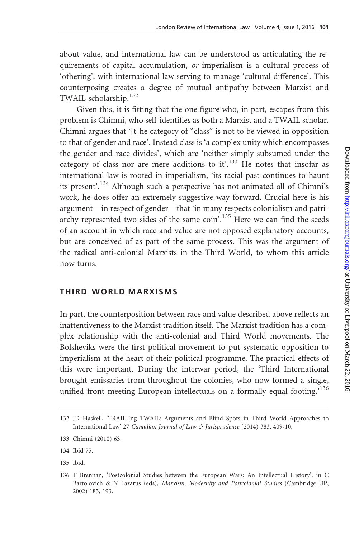about value, and international law can be understood as articulating the requirements of capital accumulation, or imperialism is a cultural process of 'othering', with international law serving to manage 'cultural difference'. This counterposing creates a degree of mutual antipathy between Marxist and TWAIL scholarship.<sup>132</sup>

Given this, it is fitting that the one figure who, in part, escapes from this problem is Chimni, who self-identifies as both a Marxist and a TWAIL scholar. Chimni argues that '[t]he category of "class" is not to be viewed in opposition to that of gender and race'. Instead class is 'a complex unity which encompasses the gender and race divides', which are 'neither simply subsumed under the category of class nor are mere additions to it'.<sup>133</sup> He notes that insofar as international law is rooted in imperialism, 'its racial past continues to haunt its present<sup>'</sup>.<sup>134</sup> Although such a perspective has not animated all of Chimni's work, he does offer an extremely suggestive way forward. Crucial here is his argument—in respect of gender—that 'in many respects colonialism and patriarchy represented two sides of the same coin'.<sup>135</sup> Here we can find the seeds of an account in which race and value are not opposed explanatory accounts, but are conceived of as part of the same process. This was the argument of the radical anti-colonial Marxists in the Third World, to whom this article now turns.

# THIRD WORLD MARXISMS

In part, the counterposition between race and value described above reflects an inattentiveness to the Marxist tradition itself. The Marxist tradition has a complex relationship with the anti-colonial and Third World movements. The Bolsheviks were the first political movement to put systematic opposition to imperialism at the heart of their political programme. The practical effects of this were important. During the interwar period, the 'Third International brought emissaries from throughout the colonies, who now formed a single, unified front meeting European intellectuals on a formally equal footing.'<sup>136</sup>

135 Ibid.

<sup>132</sup> JD Haskell, 'TRAIL-Ing TWAIL: Arguments and Blind Spots in Third World Approaches to International Law' 27 Canadian Journal of Law & Jurisprudence (2014) 383, 409-10.

<sup>133</sup> Chimni (2010) 63.

<sup>134</sup> Ibid 75.

<sup>136</sup> T Brennan, 'Postcolonial Studies between the European Wars: An Intellectual History', in C Bartolovich & N Lazarus (eds), Marxism, Modernity and Postcolonial Studies (Cambridge UP, 2002) 185, 193.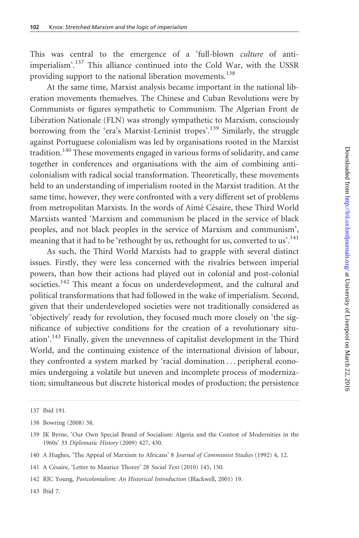This was central to the emergence of a 'full-blown culture of antiimperialism'.<sup>137</sup> This alliance continued into the Cold War, with the USSR providing support to the national liberation movements.<sup>138</sup>

At the same time, Marxist analysis became important in the national liberation movements themselves. The Chinese and Cuban Revolutions were by Communists or figures sympathetic to Communism. The Algerian Front de Libération Nationale (FLN) was strongly sympathetic to Marxism, consciously borrowing from the 'era's Marxist-Leninist tropes'.<sup>139</sup> Similarly, the struggle against Portuguese colonialism was led by organisations rooted in the Marxist tradition.<sup>140</sup> These movements engaged in various forms of solidarity, and came together in conferences and organisations with the aim of combining anticolonialism with radical social transformation. Theoretically, these movements held to an understanding of imperialism rooted in the Marxist tradition. At the same time, however, they were confronted with a very different set of problems from metropolitan Marxists. In the words of Aimé Césaire, these Third World Marxists wanted 'Marxism and communism be placed in the service of black peoples, and not black peoples in the service of Marxism and communism', meaning that it had to be 'rethought by us, rethought for us, converted to us'.<sup>141</sup>

As such, the Third World Marxists had to grapple with several distinct issues. Firstly, they were less concerned with the rivalries between imperial powers, than how their actions had played out in colonial and post-colonial societies.<sup>142</sup> This meant a focus on underdevelopment, and the cultural and political transformations that had followed in the wake of imperialism. Second, given that their underdeveloped societies were not traditionally considered as 'objectively' ready for revolution, they focused much more closely on 'the significance of subjective conditions for the creation of a revolutionary situation'.<sup>143</sup> Finally, given the unevenness of capitalist development in the Third World, and the continuing existence of the international division of labour, they confronted a system marked by 'racial domination ... peripheral economies undergoing a volatile but uneven and incomplete process of modernization; simultaneous but discrete historical modes of production; the persistence

143 Ibid 7.

<sup>137</sup> Ibid 191.

<sup>138</sup> Bowring (2008) 38.

<sup>139</sup> JK Byrne, 'Our Own Special Brand of Socialism: Algeria and the Contest of Modernities in the 1960s' 33 Diplomatic History (2009) 427, 430.

<sup>140</sup> A Hughes, 'The Appeal of Marxism to Africans' 8 Journal of Communist Studies (1992) 4, 12.

<sup>141</sup> A Césaire, 'Letter to Maurice Thorez' 28 Social Text (2010) 145, 150.

<sup>142</sup> RJC Young, Postcolonialism: An Historical Introduction (Blackwell, 2001) 19.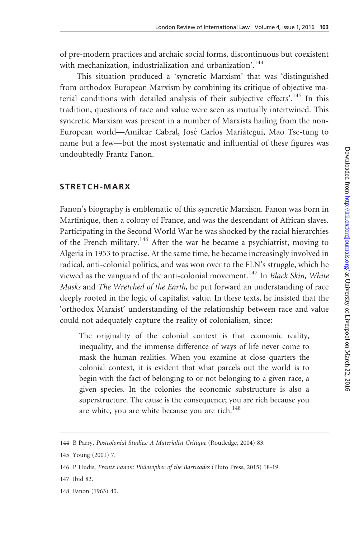of pre-modern practices and archaic social forms, discontinuous but coexistent with mechanization, industrialization and urbanization'.<sup>144</sup>

This situation produced a 'syncretic Marxism' that was 'distinguished from orthodox European Marxism by combining its critique of objective material conditions with detailed analysis of their subjective effects'.<sup>145</sup> In this tradition, questions of race and value were seen as mutually intertwined. This syncretic Marxism was present in a number of Marxists hailing from the non-European world—Amilcar Cabral, José Carlos Mariátegui, Mao Tse-tung to name but a few—but the most systematic and influential of these figures was undoubtedly Frantz Fanon.

# STRETCH-MARX

Fanon's biography is emblematic of this syncretic Marxism. Fanon was born in Martinique, then a colony of France, and was the descendant of African slaves. Participating in the Second World War he was shocked by the racial hierarchies of the French military.<sup>146</sup> After the war he became a psychiatrist, moving to Algeria in 1953 to practise. At the same time, he became increasingly involved in radical, anti-colonial politics, and was won over to the FLN's struggle, which he viewed as the vanguard of the anti-colonial movement.<sup>147</sup> In *Black Skin*, *White* Masks and The Wretched of the Earth, he put forward an understanding of race deeply rooted in the logic of capitalist value. In these texts, he insisted that the 'orthodox Marxist' understanding of the relationship between race and value could not adequately capture the reality of colonialism, since:

The originality of the colonial context is that economic reality, inequality, and the immense difference of ways of life never come to mask the human realities. When you examine at close quarters the colonial context, it is evident that what parcels out the world is to begin with the fact of belonging to or not belonging to a given race, a given species. In the colonies the economic substructure is also a superstructure. The cause is the consequence; you are rich because you are white, you are white because you are rich.<sup>148</sup>

- 147 Ibid 82.
- 148 Fanon (1963) 40.

<sup>144</sup> B Parry, Postcolonial Studies: A Materialist Critique (Routledge, 2004) 83.

<sup>145</sup> Young (2001) 7.

<sup>146</sup> P Hudis, Frantz Fanon: Philosopher of the Barricades (Pluto Press, 2015) 18-19.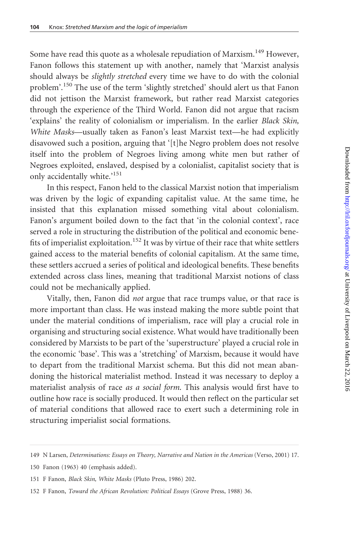Some have read this quote as a wholesale repudiation of Marxism.<sup>149</sup> However, Fanon follows this statement up with another, namely that 'Marxist analysis should always be slightly stretched every time we have to do with the colonial problem'.<sup>150</sup> The use of the term 'slightly stretched' should alert us that Fanon did not jettison the Marxist framework, but rather read Marxist categories through the experience of the Third World. Fanon did not argue that racism 'explains' the reality of colonialism or imperialism. In the earlier Black Skin, White Masks—usually taken as Fanon's least Marxist text—he had explicitly disavowed such a position, arguing that '[t]he Negro problem does not resolve itself into the problem of Negroes living among white men but rather of Negroes exploited, enslaved, despised by a colonialist, capitalist society that is only accidentally white.'<sup>151</sup>

In this respect, Fanon held to the classical Marxist notion that imperialism was driven by the logic of expanding capitalist value. At the same time, he insisted that this explanation missed something vital about colonialism. Fanon's argument boiled down to the fact that 'in the colonial context', race served a role in structuring the distribution of the political and economic benefits of imperialist exploitation.<sup>152</sup> It was by virtue of their race that white settlers gained access to the material benefits of colonial capitalism. At the same time, these settlers accrued a series of political and ideological benefits. These benefits extended across class lines, meaning that traditional Marxist notions of class could not be mechanically applied.

Vitally, then, Fanon did not argue that race trumps value, or that race is more important than class. He was instead making the more subtle point that under the material conditions of imperialism, race will play a crucial role in organising and structuring social existence. What would have traditionally been considered by Marxists to be part of the 'superstructure' played a crucial role in the economic 'base'. This was a 'stretching' of Marxism, because it would have to depart from the traditional Marxist schema. But this did not mean abandoning the historical materialist method. Instead it was necessary to deploy a materialist analysis of race as a social form. This analysis would first have to outline how race is socially produced. It would then reflect on the particular set of material conditions that allowed race to exert such a determining role in structuring imperialist social formations.

<sup>149</sup> N Larsen, Determinations: Essays on Theory, Narrative and Nation in the Americas (Verso, 2001) 17.

<sup>150</sup> Fanon (1963) 40 (emphasis added).

<sup>151</sup> F Fanon, Black Skin, White Masks (Pluto Press, 1986) 202.

<sup>152</sup> F Fanon, Toward the African Revolution: Political Essays (Grove Press, 1988) 36.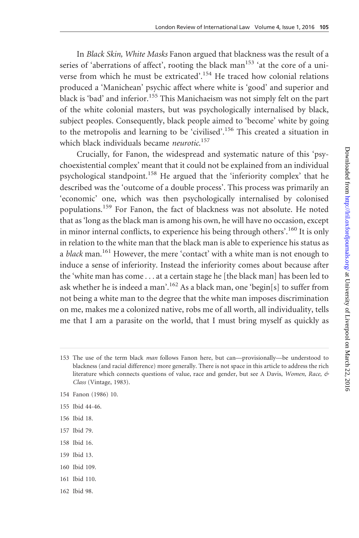In Black Skin, White Masks Fanon argued that blackness was the result of a series of 'aberrations of affect', rooting the black man<sup>153</sup> 'at the core of a universe from which he must be extricated'.<sup>154</sup> He traced how colonial relations produced a 'Manichean' psychic affect where white is 'good' and superior and black is 'bad' and inferior.<sup>155</sup> This Manichaeism was not simply felt on the part of the white colonial masters, but was psychologically internalised by black, subject peoples. Consequently, black people aimed to 'become' white by going to the metropolis and learning to be 'civilised'.<sup>156</sup> This created a situation in which black individuals became neurotic.<sup>157</sup>

Crucially, for Fanon, the widespread and systematic nature of this 'psychoexistential complex' meant that it could not be explained from an individual psychological standpoint.<sup>158</sup> He argued that the 'inferiority complex' that he described was the 'outcome of a double process'. This process was primarily an 'economic' one, which was then psychologically internalised by colonised populations.<sup>159</sup> For Fanon, the fact of blackness was not absolute. He noted that as 'long as the black man is among his own, he will have no occasion, except in minor internal conflicts, to experience his being through others'.<sup>160</sup> It is only in relation to the white man that the black man is able to experience his status as a black man.<sup>161</sup> However, the mere 'contact' with a white man is not enough to induce a sense of inferiority. Instead the inferiority comes about because after the 'white man has come ... at a certain stage he [the black man] has been led to ask whether he is indeed a man'.<sup>162</sup> As a black man, one 'begin[s] to suffer from not being a white man to the degree that the white man imposes discrimination on me, makes me a colonized native, robs me of all worth, all individuality, tells me that I am a parasite on the world, that I must bring myself as quickly as

- 155 Ibid 44-46.
- 156 Ibid 18.
- 157 Ibid 79.
- 158 Ibid 16.
- 159 Ibid 13.
- 160 Ibid 109.
- 161 Ibid 110.
- 162 Ibid 98.

<sup>153</sup> The use of the term black man follows Fanon here, but can—provisionally—be understood to blackness (and racial difference) more generally. There is not space in this article to address the rich literature which connects questions of value, race and gender, but see A Davis, Women, Race, & Class (Vintage, 1983).

<sup>154</sup> Fanon (1986) 10.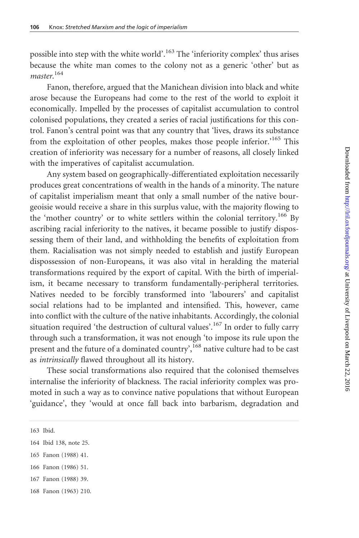possible into step with the white world'.<sup>163</sup> The 'inferiority complex' thus arises because the white man comes to the colony not as a generic 'other' but as master. 164

Fanon, therefore, argued that the Manichean division into black and white arose because the Europeans had come to the rest of the world to exploit it economically. Impelled by the processes of capitalist accumulation to control colonised populations, they created a series of racial justifications for this control. Fanon's central point was that any country that 'lives, draws its substance from the exploitation of other peoples, makes those people inferior.<sup>165</sup> This creation of inferiority was necessary for a number of reasons, all closely linked with the imperatives of capitalist accumulation.

Any system based on geographically-differentiated exploitation necessarily produces great concentrations of wealth in the hands of a minority. The nature of capitalist imperialism meant that only a small number of the native bourgeoisie would receive a share in this surplus value, with the majority flowing to the 'mother country' or to white settlers within the colonial territory.<sup>166</sup> By ascribing racial inferiority to the natives, it became possible to justify dispossessing them of their land, and withholding the benefits of exploitation from them. Racialisation was not simply needed to establish and justify European dispossession of non-Europeans, it was also vital in heralding the material transformations required by the export of capital. With the birth of imperialism, it became necessary to transform fundamentally-peripheral territories. Natives needed to be forcibly transformed into 'labourers' and capitalist social relations had to be implanted and intensified. This, however, came into conflict with the culture of the native inhabitants. Accordingly, the colonial situation required 'the destruction of cultural values'.<sup>167</sup> In order to fully carry through such a transformation, it was not enough 'to impose its rule upon the present and the future of a dominated country',<sup>168</sup> native culture had to be cast as intrinsically flawed throughout all its history.

These social transformations also required that the colonised themselves internalise the inferiority of blackness. The racial inferiority complex was promoted in such a way as to convince native populations that without European 'guidance', they 'would at once fall back into barbarism, degradation and

165 Fanon (1988) 41.

- 167 Fanon (1988) 39.
- 168 Fanon (1963) 210.

<sup>163</sup> Ibid.

<sup>164</sup> Ibid 138, note 25.

<sup>166</sup> Fanon (1986) 51.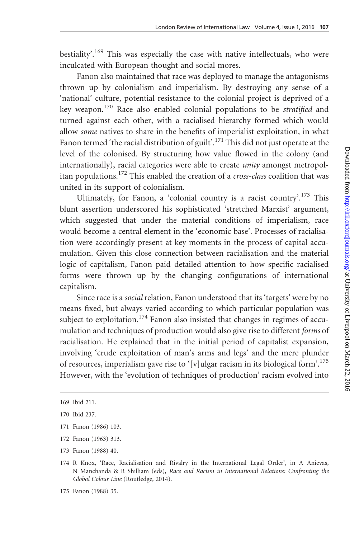bestiality'.<sup>169</sup> This was especially the case with native intellectuals, who were inculcated with European thought and social mores.

Fanon also maintained that race was deployed to manage the antagonisms thrown up by colonialism and imperialism. By destroying any sense of a 'national' culture, potential resistance to the colonial project is deprived of a key weapon.<sup>170</sup> Race also enabled colonial populations to be *stratified* and turned against each other, with a racialised hierarchy formed which would allow some natives to share in the benefits of imperialist exploitation, in what Fanon termed 'the racial distribution of guilt'.<sup>171</sup> This did not just operate at the level of the colonised. By structuring how value flowed in the colony (and internationally), racial categories were able to create *unity* amongst metropolitan populations.<sup>172</sup> This enabled the creation of a *cross-class* coalition that was united in its support of colonialism.

Ultimately, for Fanon, a 'colonial country is a racist country'.<sup>173</sup> This blunt assertion underscored his sophisticated 'stretched Marxist' argument, which suggested that under the material conditions of imperialism, race would become a central element in the 'economic base'. Processes of racialisation were accordingly present at key moments in the process of capital accumulation. Given this close connection between racialisation and the material logic of capitalism, Fanon paid detailed attention to how specific racialised forms were thrown up by the changing configurations of international capitalism.

Since race is a social relation, Fanon understood that its 'targets' were by no means fixed, but always varied according to which particular population was subject to exploitation.<sup>174</sup> Fanon also insisted that changes in regimes of accumulation and techniques of production would also give rise to different forms of racialisation. He explained that in the initial period of capitalist expansion, involving 'crude exploitation of man's arms and legs' and the mere plunder of resources, imperialism gave rise to '[v]ulgar racism in its biological form'.<sup>175</sup> However, with the 'evolution of techniques of production' racism evolved into

- 171 Fanon (1986) 103.
- 172 Fanon (1963) 313.
- 173 Fanon (1988) 40.
- 174 R Knox, 'Race, Racialisation and Rivalry in the International Legal Order', in A Anievas, N Manchanda & R Shilliam (eds), Race and Racism in International Relations: Confronting the Global Colour Line (Routledge, 2014).
- 175 Fanon (1988) 35.

<sup>169</sup> Ibid 211.

<sup>170</sup> Ibid 237.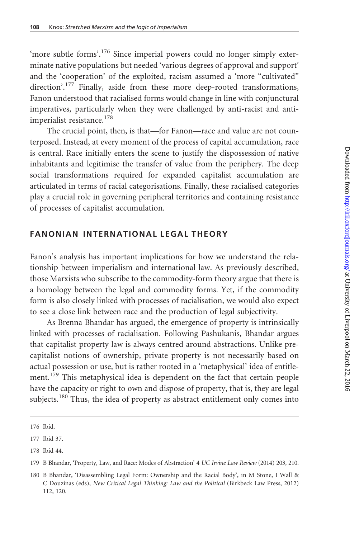'more subtle forms'.<sup>176</sup> Since imperial powers could no longer simply exterminate native populations but needed 'various degrees of approval and support' and the 'cooperation' of the exploited, racism assumed a 'more "cultivated" direction'.<sup>177</sup> Finally, aside from these more deep-rooted transformations, Fanon understood that racialised forms would change in line with conjunctural imperatives, particularly when they were challenged by anti-racist and antiimperialist resistance.<sup>178</sup>

The crucial point, then, is that—for Fanon—race and value are not counterposed. Instead, at every moment of the process of capital accumulation, race is central. Race initially enters the scene to justify the dispossession of native inhabitants and legitimise the transfer of value from the periphery. The deep social transformations required for expanded capitalist accumulation are articulated in terms of racial categorisations. Finally, these racialised categories play a crucial role in governing peripheral territories and containing resistance of processes of capitalist accumulation.

# FANONIAN INTERNATIONAL LEGAL THEORY

Fanon's analysis has important implications for how we understand the relationship between imperialism and international law. As previously described, those Marxists who subscribe to the commodity-form theory argue that there is a homology between the legal and commodity forms. Yet, if the commodity form is also closely linked with processes of racialisation, we would also expect to see a close link between race and the production of legal subjectivity.

As Brenna Bhandar has argued, the emergence of property is intrinsically linked with processes of racialisation. Following Pashukanis, Bhandar argues that capitalist property law is always centred around abstractions. Unlike precapitalist notions of ownership, private property is not necessarily based on actual possession or use, but is rather rooted in a 'metaphysical' idea of entitlement.<sup>179</sup> This metaphysical idea is dependent on the fact that certain people have the capacity or right to own and dispose of property, that is, they are legal subjects.<sup>180</sup> Thus, the idea of property as abstract entitlement only comes into

<sup>176</sup> Ibid.

<sup>177</sup> Ibid 37.

<sup>178</sup> Ibid 44.

<sup>179</sup> B Bhandar, 'Property, Law, and Race: Modes of Abstraction' 4 UC Irvine Law Review (2014) 203, 210.

<sup>180</sup> B Bhandar, 'Disassembling Legal Form: Ownership and the Racial Body', in M Stone, I Wall & C Douzinas (eds), New Critical Legal Thinking: Law and the Political (Birkbeck Law Press, 2012) 112, 120.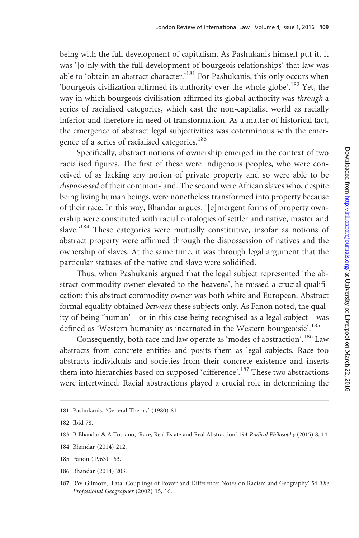being with the full development of capitalism. As Pashukanis himself put it, it was '[o]nly with the full development of bourgeois relationships' that law was able to 'obtain an abstract character.'<sup>181</sup> For Pashukanis, this only occurs when 'bourgeois civilization affirmed its authority over the whole globe'.<sup>182</sup> Yet, the way in which bourgeois civilisation affirmed its global authority was through a series of racialised categories, which cast the non-capitalist world as racially inferior and therefore in need of transformation. As a matter of historical fact, the emergence of abstract legal subjectivities was coterminous with the emergence of a series of racialised categories.<sup>183</sup>

Specifically, abstract notions of ownership emerged in the context of two racialised figures. The first of these were indigenous peoples, who were conceived of as lacking any notion of private property and so were able to be dispossessed of their common-land. The second were African slaves who, despite being living human beings, were nonetheless transformed into property because of their race. In this way, Bhandar argues, '[e]mergent forms of property ownership were constituted with racial ontologies of settler and native, master and slave.'<sup>184</sup> These categories were mutually constitutive, insofar as notions of abstract property were affirmed through the dispossession of natives and the ownership of slaves. At the same time, it was through legal argument that the particular statuses of the native and slave were solidified.

Thus, when Pashukanis argued that the legal subject represented 'the abstract commodity owner elevated to the heavens', he missed a crucial qualification: this abstract commodity owner was both white and European. Abstract formal equality obtained between these subjects only. As Fanon noted, the quality of being 'human'—or in this case being recognised as a legal subject—was defined as 'Western humanity as incarnated in the Western bourgeoisie'.<sup>185</sup>

Consequently, both race and law operate as 'modes of abstraction'.<sup>186</sup> Law abstracts from concrete entities and posits them as legal subjects. Race too abstracts individuals and societies from their concrete existence and inserts them into hierarchies based on supposed 'difference'.<sup>187</sup> These two abstractions were intertwined. Racial abstractions played a crucial role in determining the

<sup>181</sup> Pashukanis, 'General Theory' (1980) 81.

<sup>182</sup> Ibid 78.

<sup>183</sup> B Bhandar & A Toscano, 'Race, Real Estate and Real Abstraction' 194 Radical Philosophy (2015) 8, 14.

<sup>184</sup> Bhandar (2014) 212.

<sup>185</sup> Fanon (1963) 163.

<sup>186</sup> Bhandar (2014) 203.

<sup>187</sup> RW Gilmore, 'Fatal Couplings of Power and Difference: Notes on Racism and Geography' 54 The Professional Geographer (2002) 15, 16.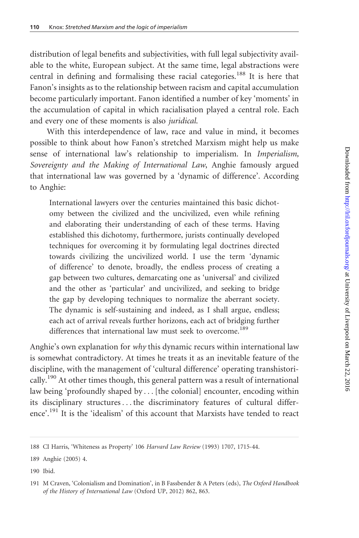distribution of legal benefits and subjectivities, with full legal subjectivity available to the white, European subject. At the same time, legal abstractions were central in defining and formalising these racial categories.<sup>188</sup> It is here that Fanon's insights as to the relationship between racism and capital accumulation become particularly important. Fanon identified a number of key 'moments' in the accumulation of capital in which racialisation played a central role. Each and every one of these moments is also juridical.

With this interdependence of law, race and value in mind, it becomes possible to think about how Fanon's stretched Marxism might help us make sense of international law's relationship to imperialism. In Imperialism, Sovereignty and the Making of International Law, Anghie famously argued that international law was governed by a 'dynamic of difference'. According to Anghie:

International lawyers over the centuries maintained this basic dichotomy between the civilized and the uncivilized, even while refining and elaborating their understanding of each of these terms. Having established this dichotomy, furthermore, jurists continually developed techniques for overcoming it by formulating legal doctrines directed towards civilizing the uncivilized world. I use the term 'dynamic of difference' to denote, broadly, the endless process of creating a gap between two cultures, demarcating one as 'universal' and civilized and the other as 'particular' and uncivilized, and seeking to bridge the gap by developing techniques to normalize the aberrant society. The dynamic is self-sustaining and indeed, as I shall argue, endless; each act of arrival reveals further horizons, each act of bridging further differences that international law must seek to overcome.<sup>189</sup>

Anghie's own explanation for why this dynamic recurs within international law is somewhat contradictory. At times he treats it as an inevitable feature of the discipline, with the management of 'cultural difference' operating transhistorically.<sup>190</sup> At other times though, this general pattern was a result of international law being 'profoundly shaped by . . . [the colonial] encounter, encoding within its disciplinary structures... the discriminatory features of cultural difference'.<sup>191</sup> It is the 'idealism' of this account that Marxists have tended to react

<sup>188</sup> CI Harris, 'Whiteness as Property' 106 Harvard Law Review (1993) 1707, 1715-44.

<sup>189</sup> Anghie (2005) 4.

<sup>190</sup> Ibid.

<sup>191</sup> M Craven, 'Colonialism and Domination', in B Fassbender & A Peters (eds), The Oxford Handbook of the History of International Law (Oxford UP, 2012) 862, 863.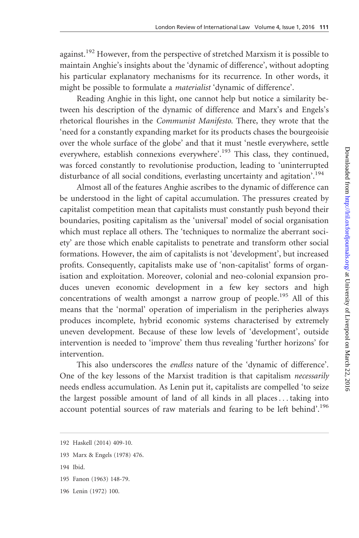against.<sup>192</sup> However, from the perspective of stretched Marxism it is possible to maintain Anghie's insights about the 'dynamic of difference', without adopting his particular explanatory mechanisms for its recurrence. In other words, it might be possible to formulate a materialist 'dynamic of difference'.

Reading Anghie in this light, one cannot help but notice a similarity between his description of the dynamic of difference and Marx's and Engels's rhetorical flourishes in the Communist Manifesto. There, they wrote that the 'need for a constantly expanding market for its products chases the bourgeoisie over the whole surface of the globe' and that it must 'nestle everywhere, settle everywhere, establish connexions everywhere'.<sup>193</sup> This class, they continued, was forced constantly to revolutionise production, leading to 'uninterrupted disturbance of all social conditions, everlasting uncertainty and agitation'.<sup>194</sup>

Almost all of the features Anghie ascribes to the dynamic of difference can be understood in the light of capital accumulation. The pressures created by capitalist competition mean that capitalists must constantly push beyond their boundaries, positing capitalism as the 'universal' model of social organisation which must replace all others. The 'techniques to normalize the aberrant society' are those which enable capitalists to penetrate and transform other social formations. However, the aim of capitalists is not 'development', but increased profits. Consequently, capitalists make use of 'non-capitalist' forms of organisation and exploitation. Moreover, colonial and neo-colonial expansion produces uneven economic development in a few key sectors and high concentrations of wealth amongst a narrow group of people.<sup>195</sup> All of this means that the 'normal' operation of imperialism in the peripheries always produces incomplete, hybrid economic systems characterised by extremely uneven development. Because of these low levels of 'development', outside intervention is needed to 'improve' them thus revealing 'further horizons' for intervention.

This also underscores the endless nature of the 'dynamic of difference'. One of the key lessons of the Marxist tradition is that capitalism necessarily needs endless accumulation. As Lenin put it, capitalists are compelled 'to seize the largest possible amount of land of all kinds in all places... taking into account potential sources of raw materials and fearing to be left behind'.<sup>196</sup>

196 Lenin (1972) 100.

<sup>192</sup> Haskell (2014) 409-10.

<sup>193</sup> Marx & Engels (1978) 476.

<sup>194</sup> Ibid.

<sup>195</sup> Fanon (1963) 148-79.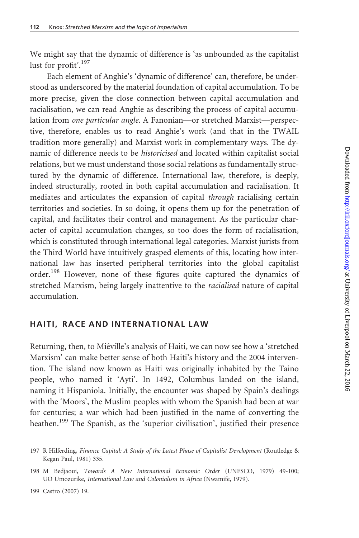We might say that the dynamic of difference is 'as unbounded as the capitalist lust for profit'.<sup>197</sup>

Each element of Anghie's 'dynamic of difference' can, therefore, be understood as underscored by the material foundation of capital accumulation. To be more precise, given the close connection between capital accumulation and racialisation, we can read Anghie as describing the process of capital accumulation from one particular angle. A Fanonian—or stretched Marxist—perspective, therefore, enables us to read Anghie's work (and that in the TWAIL tradition more generally) and Marxist work in complementary ways. The dynamic of difference needs to be historicised and located within capitalist social relations, but we must understand those social relations as fundamentally structured by the dynamic of difference. International law, therefore, is deeply, indeed structurally, rooted in both capital accumulation and racialisation. It mediates and articulates the expansion of capital through racialising certain territories and societies. In so doing, it opens them up for the penetration of capital, and facilitates their control and management. As the particular character of capital accumulation changes, so too does the form of racialisation, which is constituted through international legal categories. Marxist jurists from the Third World have intuitively grasped elements of this, locating how international law has inserted peripheral territories into the global capitalist order.<sup>198</sup> However, none of these figures quite captured the dynamics of stretched Marxism, being largely inattentive to the racialised nature of capital accumulation.

#### HAITI, RACE AND INTERNATIONAL LAW

Returning, then, to Miéville's analysis of Haiti, we can now see how a 'stretched Marxism' can make better sense of both Haiti's history and the 2004 intervention. The island now known as Haiti was originally inhabited by the Taino people, who named it 'Ayti'. In 1492, Columbus landed on the island, naming it Hispaniola. Initially, the encounter was shaped by Spain's dealings with the 'Moors', the Muslim peoples with whom the Spanish had been at war for centuries; a war which had been justified in the name of converting the heathen.<sup>199</sup> The Spanish, as the 'superior civilisation', justified their presence

<sup>197</sup> R Hilferding, Finance Capital: A Study of the Latest Phase of Capitalist Development (Routledge & Kegan Paul, 1981) 335.

<sup>198</sup> M Bedjaoui, Towards A New International Economic Order (UNESCO, 1979) 49-100; UO Umozurike, International Law and Colonialism in Africa (Nwamife, 1979).

<sup>199</sup> Castro (2007) 19.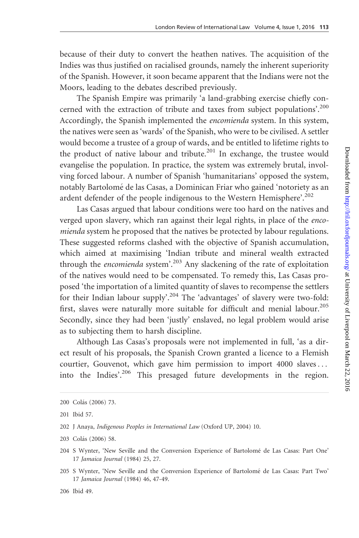because of their duty to convert the heathen natives. The acquisition of the Indies was thus justified on racialised grounds, namely the inherent superiority of the Spanish. However, it soon became apparent that the Indians were not the Moors, leading to the debates described previously.

The Spanish Empire was primarily 'a land-grabbing exercise chiefly concerned with the extraction of tribute and taxes from subject populations'.<sup>200</sup> Accordingly, the Spanish implemented the encomienda system. In this system, the natives were seen as 'wards' of the Spanish, who were to be civilised. A settler would become a trustee of a group of wards, and be entitled to lifetime rights to the product of native labour and tribute.<sup>201</sup> In exchange, the trustee would evangelise the population. In practice, the system was extremely brutal, involving forced labour. A number of Spanish 'humanitarians' opposed the system, notably Bartolomé de las Casas, a Dominican Friar who gained 'notoriety as an ardent defender of the people indigenous to the Western Hemisphere'.<sup>202</sup>

Las Casas argued that labour conditions were too hard on the natives and verged upon slavery, which ran against their legal rights, in place of the encomienda system he proposed that the natives be protected by labour regulations. These suggested reforms clashed with the objective of Spanish accumulation, which aimed at maximising 'Indian tribute and mineral wealth extracted through the *encomienda* system<sup>'.203</sup> Any slackening of the rate of exploitation of the natives would need to be compensated. To remedy this, Las Casas proposed 'the importation of a limited quantity of slaves to recompense the settlers for their Indian labour supply'.<sup>204</sup> The 'advantages' of slavery were two-fold: first, slaves were naturally more suitable for difficult and menial labour.<sup>205</sup> Secondly, since they had been 'justly' enslaved, no legal problem would arise as to subjecting them to harsh discipline.

Although Las Casas's proposals were not implemented in full, 'as a direct result of his proposals, the Spanish Crown granted a licence to a Flemish courtier, Gouvenot, which gave him permission to import 4000 slaves... into the Indies'.<sup>206</sup> This presaged future developments in the region.

- 203 Colás (2006) 58.
- 204 S Wynter, 'New Seville and the Conversion Experience of Bartolome´ de Las Casas: Part One' 17 Jamaica Journal (1984) 25, 27.
- 205 S Wynter, 'New Seville and the Conversion Experience of Bartolome´ de Las Casas: Part Two' 17 Jamaica Journal (1984) 46, 47-49.

206 Ibid 49.

<sup>200</sup> Colás (2006) 73.

<sup>201</sup> Ibid 57.

<sup>202</sup> J Anaya, Indigenous Peoples in International Law (Oxford UP, 2004) 10.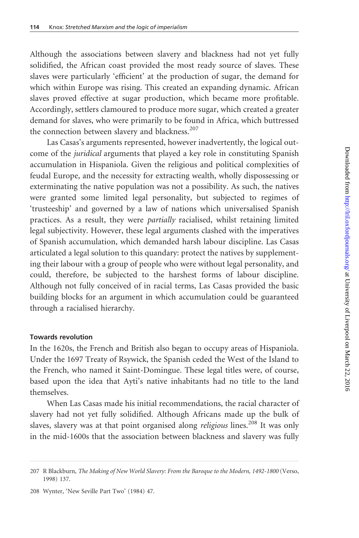Although the associations between slavery and blackness had not yet fully solidified, the African coast provided the most ready source of slaves. These slaves were particularly 'efficient' at the production of sugar, the demand for which within Europe was rising. This created an expanding dynamic. African slaves proved effective at sugar production, which became more profitable. Accordingly, settlers clamoured to produce more sugar, which created a greater demand for slaves, who were primarily to be found in Africa, which buttressed the connection between slavery and blackness.<sup>207</sup>

Las Casas's arguments represented, however inadvertently, the logical outcome of the juridical arguments that played a key role in constituting Spanish accumulation in Hispaniola. Given the religious and political complexities of feudal Europe, and the necessity for extracting wealth, wholly dispossessing or exterminating the native population was not a possibility. As such, the natives were granted some limited legal personality, but subjected to regimes of 'trusteeship' and governed by a law of nations which universalised Spanish practices. As a result, they were partially racialised, whilst retaining limited legal subjectivity. However, these legal arguments clashed with the imperatives of Spanish accumulation, which demanded harsh labour discipline. Las Casas articulated a legal solution to this quandary: protect the natives by supplementing their labour with a group of people who were without legal personality, and could, therefore, be subjected to the harshest forms of labour discipline. Although not fully conceived of in racial terms, Las Casas provided the basic building blocks for an argument in which accumulation could be guaranteed through a racialised hierarchy.

#### Towards revolution

In the 1620s, the French and British also began to occupy areas of Hispaniola. Under the 1697 Treaty of Rsywick, the Spanish ceded the West of the Island to the French, who named it Saint-Domingue. These legal titles were, of course, based upon the idea that Ayti's native inhabitants had no title to the land themselves.

When Las Casas made his initial recommendations, the racial character of slavery had not yet fully solidified. Although Africans made up the bulk of slaves, slavery was at that point organised along religious lines.<sup>208</sup> It was only in the mid-1600s that the association between blackness and slavery was fully

<sup>207</sup> R Blackburn, The Making of New World Slavery: From the Baroque to the Modern, 1492-1800 (Verso, 1998) 137.

<sup>208</sup> Wynter, 'New Seville Part Two' (1984) 47.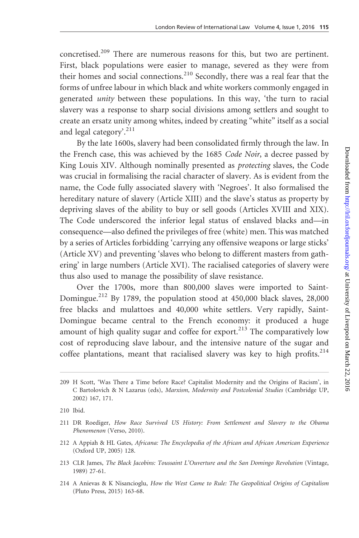concretised.<sup>209</sup> There are numerous reasons for this, but two are pertinent. First, black populations were easier to manage, severed as they were from their homes and social connections.<sup>210</sup> Secondly, there was a real fear that the forms of unfree labour in which black and white workers commonly engaged in generated unity between these populations. In this way, 'the turn to racial slavery was a response to sharp social divisions among settlers and sought to create an ersatz unity among whites, indeed by creating "white" itself as a social and legal category'.<sup>211</sup>

By the late 1600s, slavery had been consolidated firmly through the law. In the French case, this was achieved by the 1685 Code Noir, a decree passed by King Louis XIV. Although nominally presented as protecting slaves, the Code was crucial in formalising the racial character of slavery. As is evident from the name, the Code fully associated slavery with 'Negroes'. It also formalised the hereditary nature of slavery (Article XIII) and the slave's status as property by depriving slaves of the ability to buy or sell goods (Articles XVIII and XIX). The Code underscored the inferior legal status of enslaved blacks and—in consequence—also defined the privileges of free (white) men. This was matched by a series of Articles forbidding 'carrying any offensive weapons or large sticks' (Article XV) and preventing 'slaves who belong to different masters from gathering' in large numbers (Article XVI). The racialised categories of slavery were thus also used to manage the possibility of slave resistance.

Over the 1700s, more than 800,000 slaves were imported to Saint-Domingue.<sup>212</sup> By 1789, the population stood at 450,000 black slaves, 28,000 free blacks and mulattoes and 40,000 white settlers. Very rapidly, Saint-Domingue became central to the French economy: it produced a huge amount of high quality sugar and coffee for export.<sup>213</sup> The comparatively low cost of reproducing slave labour, and the intensive nature of the sugar and coffee plantations, meant that racialised slavery was key to high profits.<sup>214</sup>

- 212 A Appiah & HL Gates, Africana: The Encyclopedia of the African and African American Experience (Oxford UP, 2005) 128.
- 213 CLR James, The Black Jacobins: Toussaint L'Ouverture and the San Domingo Revolution (Vintage, 1989) 27-61.
- 214 A Anievas & K Nisancioglu, How the West Came to Rule: The Geopolitical Origins of Capitalism (Pluto Press, 2015) 163-68.

<sup>209</sup> H Scott, 'Was There a Time before Race? Capitalist Modernity and the Origins of Racism', in C Bartolovich & N Lazarus (eds), Marxism, Modernity and Postcolonial Studies (Cambridge UP, 2002) 167, 171.

<sup>210</sup> Ibid.

<sup>211</sup> DR Roediger, How Race Survived US History: From Settlement and Slavery to the Obama Phenomenon (Verso, 2010).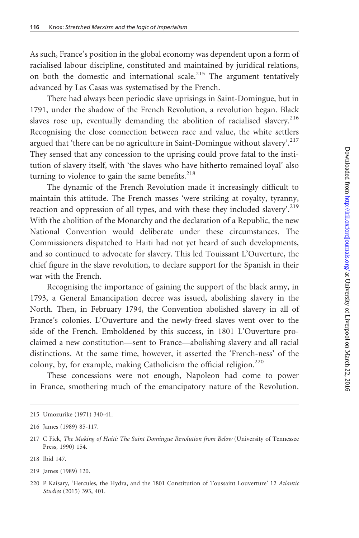As such, France's position in the global economy was dependent upon a form of racialised labour discipline, constituted and maintained by juridical relations, on both the domestic and international scale.<sup>215</sup> The argument tentatively advanced by Las Casas was systematised by the French.

There had always been periodic slave uprisings in Saint-Domingue, but in 1791, under the shadow of the French Revolution, a revolution began. Black slaves rose up, eventually demanding the abolition of racialised slavery.<sup>216</sup> Recognising the close connection between race and value, the white settlers argued that 'there can be no agriculture in Saint-Domingue without slavery'.<sup>217</sup> They sensed that any concession to the uprising could prove fatal to the institution of slavery itself, with 'the slaves who have hitherto remained loyal' also turning to violence to gain the same benefits. $218$ 

The dynamic of the French Revolution made it increasingly difficult to maintain this attitude. The French masses 'were striking at royalty, tyranny, reaction and oppression of all types, and with these they included slavery'.<sup>219</sup> With the abolition of the Monarchy and the declaration of a Republic, the new National Convention would deliberate under these circumstances. The Commissioners dispatched to Haiti had not yet heard of such developments, and so continued to advocate for slavery. This led Touissant L'Ouverture, the chief figure in the slave revolution, to declare support for the Spanish in their war with the French.

Recognising the importance of gaining the support of the black army, in 1793, a General Emancipation decree was issued, abolishing slavery in the North. Then, in February 1794, the Convention abolished slavery in all of France's colonies. L'Ouverture and the newly-freed slaves went over to the side of the French. Emboldened by this success, in 1801 L'Ouverture proclaimed a new constitution—sent to France—abolishing slavery and all racial distinctions. At the same time, however, it asserted the 'French-ness' of the colony, by, for example, making Catholicism the official religion. $^{220}$ 

These concessions were not enough, Napoleon had come to power in France, smothering much of the emancipatory nature of the Revolution.

<sup>215</sup> Umozurike (1971) 340-41.

<sup>216</sup> James (1989) 85-117.

<sup>217</sup> C Fick, The Making of Haiti: The Saint Domingue Revolution from Below (University of Tennessee Press, 1990) 154.

<sup>218</sup> Ibid 147.

<sup>219</sup> James (1989) 120.

<sup>220</sup> P Kaisary, 'Hercules, the Hydra, and the 1801 Constitution of Toussaint Louverture' 12 Atlantic Studies (2015) 393, 401.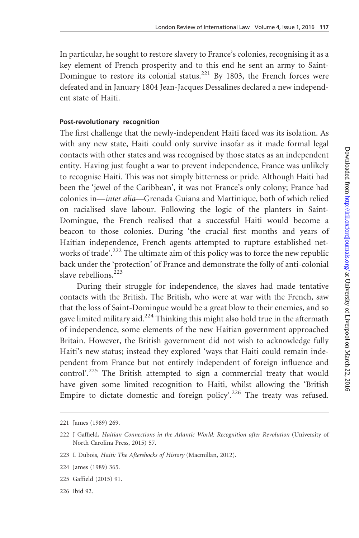In particular, he sought to restore slavery to France's colonies, recognising it as a key element of French prosperity and to this end he sent an army to Saint-Domingue to restore its colonial status.<sup>221</sup> By 1803, the French forces were defeated and in January 1804 Jean-Jacques Dessalines declared a new independent state of Haiti.

#### Post-revolutionary recognition

The first challenge that the newly-independent Haiti faced was its isolation. As with any new state, Haiti could only survive insofar as it made formal legal contacts with other states and was recognised by those states as an independent entity. Having just fought a war to prevent independence, France was unlikely to recognise Haiti. This was not simply bitterness or pride. Although Haiti had been the 'jewel of the Caribbean', it was not France's only colony; France had colonies in—inter alia—Grenada Guiana and Martinique, both of which relied on racialised slave labour. Following the logic of the planters in Saint-Domingue, the French realised that a successful Haiti would become a beacon to those colonies. During 'the crucial first months and years of Haitian independence, French agents attempted to rupture established networks of trade'.<sup>222</sup> The ultimate aim of this policy was to force the new republic back under the 'protection' of France and demonstrate the folly of anti-colonial slave rebellions.<sup>223</sup>

During their struggle for independence, the slaves had made tentative contacts with the British. The British, who were at war with the French, saw that the loss of Saint-Domingue would be a great blow to their enemies, and so gave limited military aid.<sup>224</sup> Thinking this might also hold true in the aftermath of independence, some elements of the new Haitian government approached Britain. However, the British government did not wish to acknowledge fully Haiti's new status; instead they explored 'ways that Haiti could remain independent from France but not entirely independent of foreign influence and control'.<sup>225</sup> The British attempted to sign a commercial treaty that would have given some limited recognition to Haiti, whilst allowing the 'British Empire to dictate domestic and foreign policy'.<sup>226</sup> The treaty was refused.

<sup>221</sup> James (1989) 269.

<sup>222</sup> J Gaffield, Haitian Connections in the Atlantic World: Recognition after Revolution (University of North Carolina Press, 2015) 57.

<sup>223</sup> L Dubois, Haiti: The Aftershocks of History (Macmillan, 2012).

<sup>224</sup> James (1989) 365.

<sup>225</sup> Gaffield (2015) 91.

<sup>226</sup> Ibid 92.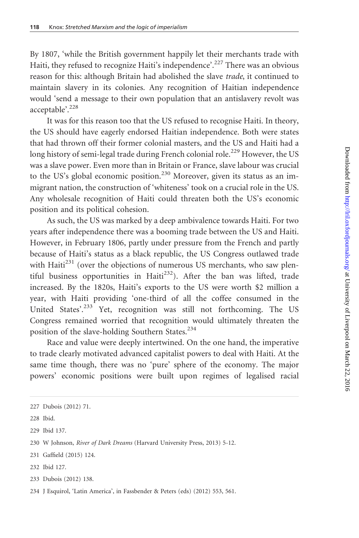By 1807, 'while the British government happily let their merchants trade with Haiti, they refused to recognize Haiti's independence'.<sup>227</sup> There was an obvious reason for this: although Britain had abolished the slave trade, it continued to maintain slavery in its colonies. Any recognition of Haitian independence would 'send a message to their own population that an antislavery revolt was acceptable'.<sup>228</sup>

It was for this reason too that the US refused to recognise Haiti. In theory, the US should have eagerly endorsed Haitian independence. Both were states that had thrown off their former colonial masters, and the US and Haiti had a long history of semi-legal trade during French colonial role.<sup>229</sup> However, the US was a slave power. Even more than in Britain or France, slave labour was crucial to the US's global economic position.<sup>230</sup> Moreover, given its status as an immigrant nation, the construction of 'whiteness' took on a crucial role in the US. Any wholesale recognition of Haiti could threaten both the US's economic position and its political cohesion.

As such, the US was marked by a deep ambivalence towards Haiti. For two years after independence there was a booming trade between the US and Haiti. However, in February 1806, partly under pressure from the French and partly because of Haiti's status as a black republic, the US Congress outlawed trade with Haiti<sup>231</sup> (over the objections of numerous US merchants, who saw plentiful business opportunities in Haiti<sup>232</sup>). After the ban was lifted, trade increased. By the 1820s, Haiti's exports to the US were worth \$2 million a year, with Haiti providing 'one-third of all the coffee consumed in the United States'.<sup>233</sup> Yet, recognition was still not forthcoming. The US Congress remained worried that recognition would ultimately threaten the position of the slave-holding Southern States.<sup>234</sup>

Race and value were deeply intertwined. On the one hand, the imperative to trade clearly motivated advanced capitalist powers to deal with Haiti. At the same time though, there was no 'pure' sphere of the economy. The major powers' economic positions were built upon regimes of legalised racial

<sup>227</sup> Dubois (2012) 71.

<sup>228</sup> Ibid.

<sup>229</sup> Ibid 137.

<sup>230</sup> W Johnson, River of Dark Dreams (Harvard University Press, 2013) 5-12.

<sup>231</sup> Gaffield (2015) 124.

<sup>232</sup> Ibid 127.

<sup>233</sup> Dubois (2012) 138.

<sup>234</sup> J Esquirol, 'Latin America', in Fassbender & Peters (eds) (2012) 553, 561.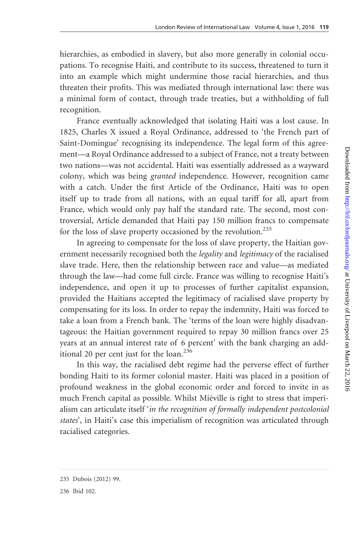hierarchies, as embodied in slavery, but also more generally in colonial occupations. To recognise Haiti, and contribute to its success, threatened to turn it into an example which might undermine those racial hierarchies, and thus threaten their profits. This was mediated through international law: there was a minimal form of contact, through trade treaties, but a withholding of full recognition.

France eventually acknowledged that isolating Haiti was a lost cause. In 1825, Charles X issued a Royal Ordinance, addressed to 'the French part of Saint-Domingue' recognising its independence. The legal form of this agreement—a Royal Ordinance addressed to a subject of France, not a treaty between two nations—was not accidental. Haiti was essentially addressed as a wayward colony, which was being granted independence. However, recognition came with a catch. Under the first Article of the Ordinance, Haiti was to open itself up to trade from all nations, with an equal tariff for all, apart from France, which would only pay half the standard rate. The second, most controversial, Article demanded that Haiti pay 150 million francs to compensate for the loss of slave property occasioned by the revolution.<sup>235</sup>

In agreeing to compensate for the loss of slave property, the Haitian government necessarily recognised both the *legality* and *legitimacy* of the racialised slave trade. Here, then the relationship between race and value—as mediated through the law—had come full circle. France was willing to recognise Haiti's independence, and open it up to processes of further capitalist expansion, provided the Haitians accepted the legitimacy of racialised slave property by compensating for its loss. In order to repay the indemnity, Haiti was forced to take a loan from a French bank. The 'terms of the loan were highly disadvantageous: the Haitian government required to repay 30 million francs over 25 years at an annual interest rate of 6 percent' with the bank charging an additional 20 per cent just for the loan.<sup>236</sup>

In this way, the racialised debt regime had the perverse effect of further bonding Haiti to its former colonial master. Haiti was placed in a position of profound weakness in the global economic order and forced to invite in as much French capital as possible. Whilst Miéville is right to stress that imperialism can articulate itself 'in the recognition of formally independent postcolonial states', in Haiti's case this imperialism of recognition was articulated through racialised categories.

<sup>235</sup> Dubois (2012) 99.

<sup>236</sup> Ibid 102.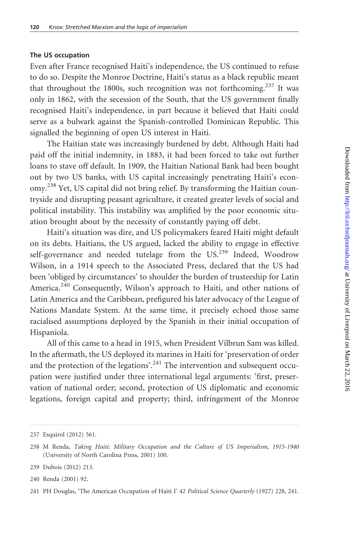### The US occupation

Even after France recognised Haiti's independence, the US continued to refuse to do so. Despite the Monroe Doctrine, Haiti's status as a black republic meant that throughout the 1800s, such recognition was not forthcoming.<sup>237</sup> It was only in 1862, with the secession of the South, that the US government finally recognised Haiti's independence, in part because it believed that Haiti could serve as a bulwark against the Spanish-controlled Dominican Republic. This signalled the beginning of open US interest in Haiti.

The Haitian state was increasingly burdened by debt. Although Haiti had paid off the initial indemnity, in 1883, it had been forced to take out further loans to stave off default. In 1909, the Haitian National Bank had been bought out by two US banks, with US capital increasingly penetrating Haiti's economy.<sup>238</sup> Yet, US capital did not bring relief. By transforming the Haitian countryside and disrupting peasant agriculture, it created greater levels of social and political instability. This instability was amplified by the poor economic situation brought about by the necessity of constantly paying off debt.

Haiti's situation was dire, and US policymakers feared Haiti might default on its debts. Haitians, the US argued, lacked the ability to engage in effective self-governance and needed tutelage from the US.<sup>239</sup> Indeed, Woodrow Wilson, in a 1914 speech to the Associated Press, declared that the US had been 'obliged by circumstances' to shoulder the burden of trusteeship for Latin America.<sup>240</sup> Consequently, Wilson's approach to Haiti, and other nations of Latin America and the Caribbean, prefigured his later advocacy of the League of Nations Mandate System. At the same time, it precisely echoed those same racialised assumptions deployed by the Spanish in their initial occupation of Hispaniola.

All of this came to a head in 1915, when President Vilbrun Sam was killed. In the aftermath, the US deployed its marines in Haiti for 'preservation of order and the protection of the legations'. $^{241}$  The intervention and subsequent occupation were justified under three international legal arguments: 'first, preservation of national order; second, protection of US diplomatic and economic legations, foreign capital and property; third, infringement of the Monroe

<sup>237</sup> Esquirol (2012) 561.

<sup>238</sup> M Renda, Taking Haiti: Military Occupation and the Culture of US Imperialism, 1915-1940 (University of North Carolina Press, 2001) 100.

<sup>239</sup> Dubois (2012) 213.

<sup>240</sup> Renda (2001) 92.

<sup>241</sup> PH Douglas, 'The American Occupation of Haiti I' 42 Political Science Quarterly (1927) 228, 241.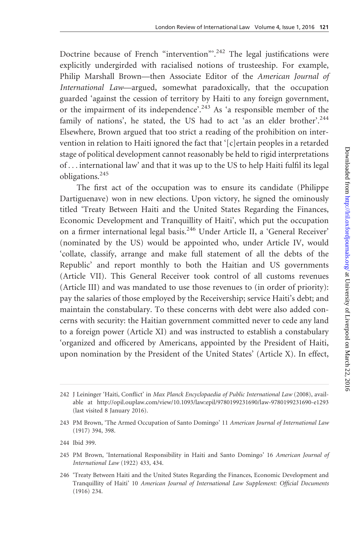Doctrine because of French "intervention"<sup>242</sup> The legal justifications were explicitly undergirded with racialised notions of trusteeship. For example, Philip Marshall Brown—then Associate Editor of the American Journal of International Law—argued, somewhat paradoxically, that the occupation guarded 'against the cession of territory by Haiti to any foreign government, or the impairment of its independence'.<sup>243</sup> As 'a responsible member of the family of nations', he stated, the US had to act 'as an elder brother'.<sup>244</sup> Elsewhere, Brown argued that too strict a reading of the prohibition on intervention in relation to Haiti ignored the fact that '[c]ertain peoples in a retarded stage of political development cannot reasonably be held to rigid interpretations of ... international law' and that it was up to the US to help Haiti fulfil its legal obligations.<sup>245</sup>

The first act of the occupation was to ensure its candidate (Philippe Dartiguenave) won in new elections. Upon victory, he signed the ominously titled 'Treaty Between Haiti and the United States Regarding the Finances, Economic Development and Tranquillity of Haiti', which put the occupation on a firmer international legal basis.<sup>246</sup> Under Article II, a 'General Receiver' (nominated by the US) would be appointed who, under Article IV, would 'collate, classify, arrange and make full statement of all the debts of the Republic' and report monthly to both the Haitian and US governments (Article VII). This General Receiver took control of all customs revenues (Article III) and was mandated to use those revenues to (in order of priority): pay the salaries of those employed by the Receivership; service Haiti's debt; and maintain the constabulary. To these concerns with debt were also added concerns with security: the Haitian government committed never to cede any land to a foreign power (Article XI) and was instructed to establish a constabulary 'organized and officered by Americans, appointed by the President of Haiti, upon nomination by the President of the United States' (Article X). In effect,

243 PM Brown, 'The Armed Occupation of Santo Domingo' 11 American Journal of International Law (1917) 394, 398.

245 PM Brown, 'International Responsibility in Haiti and Santo Domingo' 16 American Journal of International Law (1922) 433, 434.

<sup>242</sup> J Leininger 'Haiti, Conflict' in Max Planck Encyclopaedia of Public International Law (2008), available at<http://opil.ouplaw.com/view/10.1093/law:epil/9780199231690/law-9780199231690-e1293> (last visited 8 January 2016).

<sup>244</sup> Ibid 399.

<sup>246 &#</sup>x27;Treaty Between Haiti and the United States Regarding the Finances, Economic Development and Tranquillity of Haiti' 10 American Journal of International Law Supplement: Official Documents (1916) 234.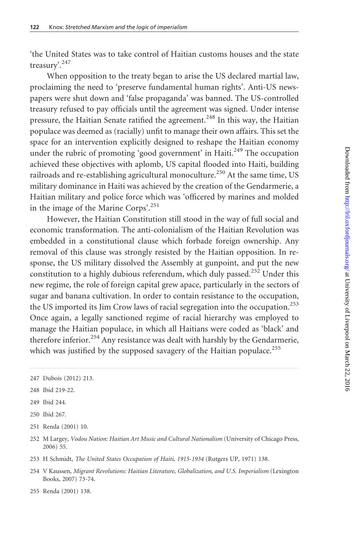'the United States was to take control of Haitian customs houses and the state treasury'.<sup>247</sup>

When opposition to the treaty began to arise the US declared martial law, proclaiming the need to 'preserve fundamental human rights'. Anti-US newspapers were shut down and 'false propaganda' was banned. The US-controlled treasury refused to pay officials until the agreement was signed. Under intense pressure, the Haitian Senate ratified the agreement.<sup>248</sup> In this way, the Haitian populace was deemed as (racially) unfit to manage their own affairs. This set the space for an intervention explicitly designed to reshape the Haitian economy under the rubric of promoting 'good government' in Haiti.<sup>249</sup> The occupation achieved these objectives with aplomb, US capital flooded into Haiti, building railroads and re-establishing agricultural monoculture.<sup>250</sup> At the same time, US military dominance in Haiti was achieved by the creation of the Gendarmerie, a Haitian military and police force which was 'officered by marines and molded in the image of the Marine Corps'.<sup>251</sup>

However, the Haitian Constitution still stood in the way of full social and economic transformation. The anti-colonialism of the Haitian Revolution was embedded in a constitutional clause which forbade foreign ownership. Any removal of this clause was strongly resisted by the Haitian opposition. In response, the US military dissolved the Assembly at gunpoint, and put the new constitution to a highly dubious referendum, which duly passed.<sup>252</sup> Under this new regime, the role of foreign capital grew apace, particularly in the sectors of sugar and banana cultivation. In order to contain resistance to the occupation, the US imported its Jim Crow laws of racial segregation into the occupation.<sup>253</sup> Once again, a legally sanctioned regime of racial hierarchy was employed to manage the Haitian populace, in which all Haitians were coded as 'black' and therefore inferior.<sup>254</sup> Any resistance was dealt with harshly by the Gendarmerie, which was justified by the supposed savagery of the Haitian populace.<sup>255</sup>

248 Ibid 219-22.

250 Ibid 267.

- 253 H Schmidt, The United States Occupation of Haiti, 1915-1934 (Rutgers UP, 1971) 138.
- 254 V Kaussen, Migrant Revolutions: Haitian Literature, Globalization, and U.S. Imperialism (Lexington Books, 2007) 73-74.

255 Renda (2001) 138.

<sup>247</sup> Dubois (2012) 213.

<sup>249</sup> Ibid 244.

<sup>251</sup> Renda (2001) 10.

<sup>252</sup> M Largey, Vodou Nation: Haitian Art Music and Cultural Nationalism (University of Chicago Press, 2006) 55.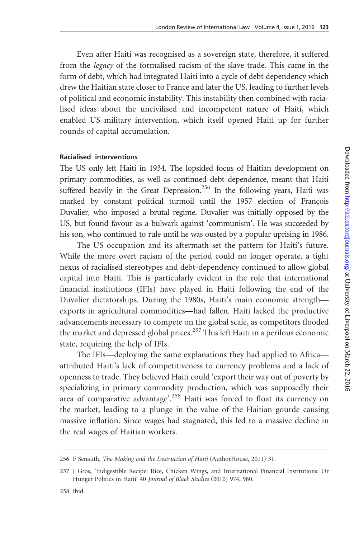Even after Haiti was recognised as a sovereign state, therefore, it suffered from the legacy of the formalised racism of the slave trade. This came in the form of debt, which had integrated Haiti into a cycle of debt dependency which drew the Haitian state closer to France and later the US, leading to further levels of political and economic instability. This instability then combined with racialised ideas about the uncivilised and incompetent nature of Haiti, which enabled US military intervention, which itself opened Haiti up for further rounds of capital accumulation.

### Racialised interventions

The US only left Haiti in 1934. The lopsided focus of Haitian development on primary commodities, as well as continued debt dependence, meant that Haiti suffered heavily in the Great Depression.<sup>256</sup> In the following years, Haiti was marked by constant political turmoil until the 1957 election of François Duvalier, who imposed a brutal regime. Duvalier was initially opposed by the US, but found favour as a bulwark against 'communism'. He was succeeded by his son, who continued to rule until he was ousted by a popular uprising in 1986.

The US occupation and its aftermath set the pattern for Haiti's future. While the more overt racism of the period could no longer operate, a tight nexus of racialised stereotypes and debt-dependency continued to allow global capital into Haiti. This is particularly evident in the role that international financial institutions (IFIs) have played in Haiti following the end of the Duvalier dictatorships. During the 1980s, Haiti's main economic strength exports in agricultural commodities—had fallen. Haiti lacked the productive advancements necessary to compete on the global scale, as competitors flooded the market and depressed global prices.<sup>257</sup> This left Haiti in a perilous economic state, requiring the help of IFIs.

The IFIs—deploying the same explanations they had applied to Africa attributed Haiti's lack of competitiveness to currency problems and a lack of openness to trade. They believed Haiti could 'export their way out of poverty by specializing in primary commodity production, which was supposedly their area of comparative advantage'.<sup>258</sup> Haiti was forced to float its currency on the market, leading to a plunge in the value of the Haitian gourde causing massive inflation. Since wages had stagnated, this led to a massive decline in the real wages of Haitian workers.

<sup>256</sup> F Senauth, The Making and the Destruction of Haiti (AuthorHouse, 2011) 31.

<sup>257</sup> J Gros, 'Indigestible Recipe: Rice, Chicken Wings, and International Financial Institutions: Or Hunger Politics in Haiti' 40 Journal of Black Studies (2010) 974, 980.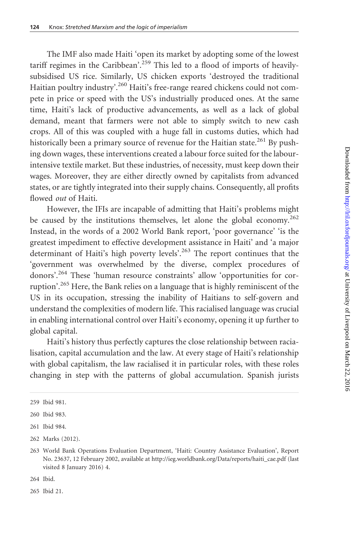The IMF also made Haiti 'open its market by adopting some of the lowest tariff regimes in the Caribbean'.<sup>259</sup> This led to a flood of imports of heavilysubsidised US rice. Similarly, US chicken exports 'destroyed the traditional Haitian poultry industry'.<sup>260</sup> Haiti's free-range reared chickens could not compete in price or speed with the US's industrially produced ones. At the same time, Haiti's lack of productive advancements, as well as a lack of global demand, meant that farmers were not able to simply switch to new cash crops. All of this was coupled with a huge fall in customs duties, which had historically been a primary source of revenue for the Haitian state.<sup>261</sup> By pushing down wages, these interventions created a labour force suited for the labourintensive textile market. But these industries, of necessity, must keep down their wages. Moreover, they are either directly owned by capitalists from advanced states, or are tightly integrated into their supply chains. Consequently, all profits flowed *out* of Haiti.

However, the IFIs are incapable of admitting that Haiti's problems might be caused by the institutions themselves, let alone the global economy.<sup>262</sup> Instead, in the words of a 2002 World Bank report, 'poor governance' 'is the greatest impediment to effective development assistance in Haiti' and 'a major determinant of Haiti's high poverty levels'.<sup>263</sup> The report continues that the 'government was overwhelmed by the diverse, complex procedures of donors'.<sup>264</sup> These 'human resource constraints' allow 'opportunities for corruption'.<sup>265</sup> Here, the Bank relies on a language that is highly reminiscent of the US in its occupation, stressing the inability of Haitians to self-govern and understand the complexities of modern life. This racialised language was crucial in enabling international control over Haiti's economy, opening it up further to global capital.

Haiti's history thus perfectly captures the close relationship between racialisation, capital accumulation and the law. At every stage of Haiti's relationship with global capitalism, the law racialised it in particular roles, with these roles changing in step with the patterns of global accumulation. Spanish jurists

262 Marks (2012).

<sup>259</sup> Ibid 981.

<sup>260</sup> Ibid 983.

<sup>261</sup> Ibid 984.

<sup>263</sup> World Bank Operations Evaluation Department, 'Haiti: Country Assistance Evaluation', Report No. 23637, 12 February 2002, available at [http://ieg.worldbank.org/Data/reports/haiti\\_cae.pdf](http://ieg.worldbank.org/Data/reports/haiti_cae.pdf) (last visited 8 January 2016) 4.

<sup>264</sup> Ibid.

<sup>265</sup> Ibid 21.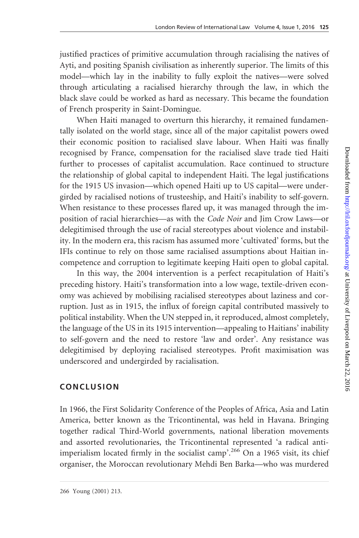justified practices of primitive accumulation through racialising the natives of Ayti, and positing Spanish civilisation as inherently superior. The limits of this model—which lay in the inability to fully exploit the natives—were solved through articulating a racialised hierarchy through the law, in which the black slave could be worked as hard as necessary. This became the foundation of French prosperity in Saint-Domingue.

When Haiti managed to overturn this hierarchy, it remained fundamentally isolated on the world stage, since all of the major capitalist powers owed their economic position to racialised slave labour. When Haiti was finally recognised by France, compensation for the racialised slave trade tied Haiti further to processes of capitalist accumulation. Race continued to structure the relationship of global capital to independent Haiti. The legal justifications for the 1915 US invasion—which opened Haiti up to US capital—were undergirded by racialised notions of trusteeship, and Haiti's inability to self-govern. When resistance to these processes flared up, it was managed through the imposition of racial hierarchies—as with the Code Noir and Jim Crow Laws—or delegitimised through the use of racial stereotypes about violence and instability. In the modern era, this racism has assumed more 'cultivated' forms, but the IFIs continue to rely on those same racialised assumptions about Haitian incompetence and corruption to legitimate keeping Haiti open to global capital.

In this way, the 2004 intervention is a perfect recapitulation of Haiti's preceding history. Haiti's transformation into a low wage, textile-driven economy was achieved by mobilising racialised stereotypes about laziness and corruption. Just as in 1915, the influx of foreign capital contributed massively to political instability. When the UN stepped in, it reproduced, almost completely, the language of the US in its 1915 intervention—appealing to Haitians' inability to self-govern and the need to restore 'law and order'. Any resistance was delegitimised by deploying racialised stereotypes. Profit maximisation was underscored and undergirded by racialisation.

## **CONCLUSION**

In 1966, the First Solidarity Conference of the Peoples of Africa, Asia and Latin America, better known as the Tricontinental, was held in Havana. Bringing together radical Third-World governments, national liberation movements and assorted revolutionaries, the Tricontinental represented 'a radical antiimperialism located firmly in the socialist camp'.<sup>266</sup> On a 1965 visit, its chief organiser, the Moroccan revolutionary Mehdi Ben Barka—who was murdered

<sup>266</sup> Young (2001) 213.